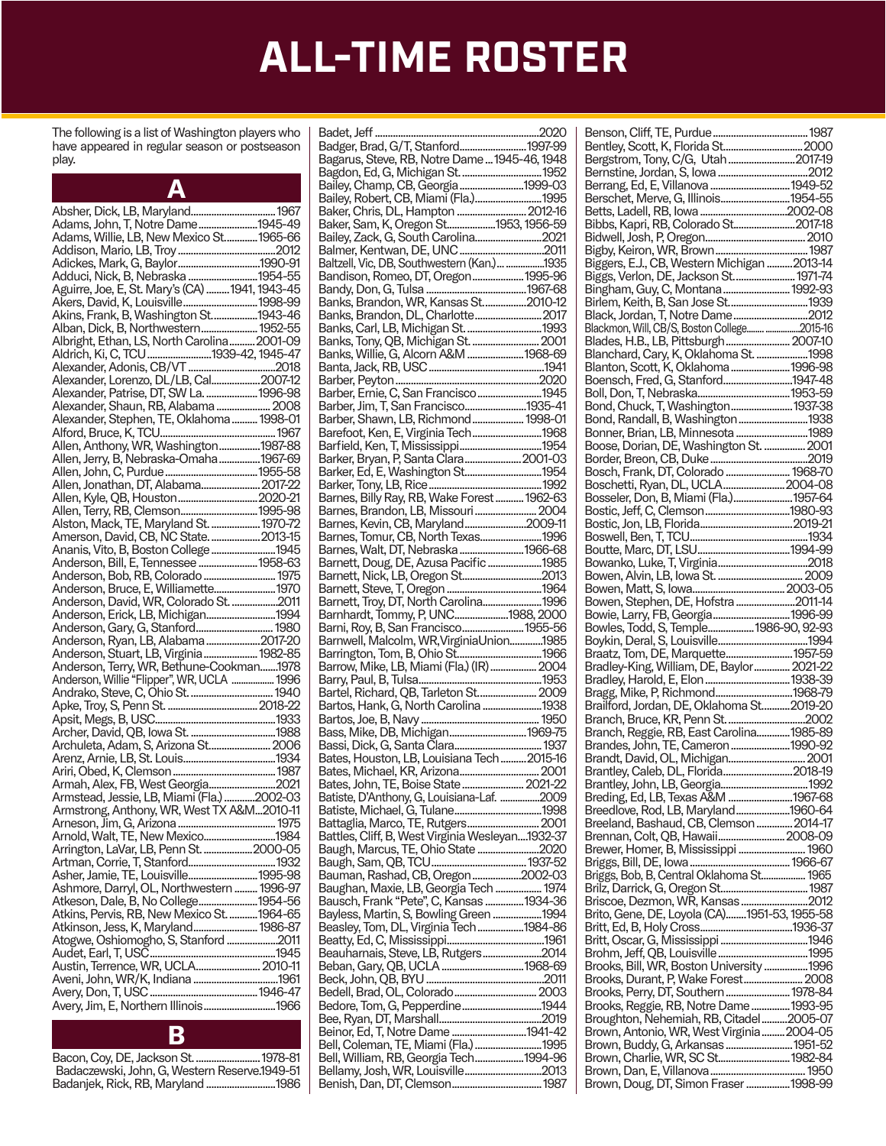The following is a list of Washington players who have appeared in regular season or postseason play.

| А                                                                          |  |
|----------------------------------------------------------------------------|--|
|                                                                            |  |
| Adams, John, T, Notre Dame1945-49                                          |  |
| Adams, Willie, LB, New Mexico St 1965-66                                   |  |
|                                                                            |  |
|                                                                            |  |
| Adduci, Nick, B, Nebraska 1954-55                                          |  |
| Aguirre, Joe, E, St. Mary's (CA)  1941, 1943-45                            |  |
|                                                                            |  |
| Akins, Frank, B, Washington St1943-46                                      |  |
| Alban, Dick, B, Northwestern 1952-55                                       |  |
| Albright, Ethan, LS, North Carolina2001-09                                 |  |
|                                                                            |  |
| Alexander, Lorenzo, DL/LB, Cal2007-12                                      |  |
| Alexander, Patrise, DT, SW La.  1996-98                                    |  |
| Alexander, Shaun, RB, Alabama  2008                                        |  |
| Alexander, Stephen, TE, Oklahoma  1998-01                                  |  |
|                                                                            |  |
| Allen, Anthony, WR, Washington1987-88                                      |  |
| Allen, Jerry, B, Nebraska-Omaha 1967-69                                    |  |
|                                                                            |  |
| Allen, Jonathan, DT, Alabama 2017-22                                       |  |
| Allen, Kyle, QB, Houston 2020-21                                           |  |
| Allen, Terry, RB, Clemson 1995-98                                          |  |
| Alston, Mack, TE, Maryland St.  1970-72                                    |  |
| Amerson, David, CB, NC State.  2013-15                                     |  |
| Ananis, Vito, B, Boston College 1945                                       |  |
|                                                                            |  |
| Anderson, Bob, RB, Colorado  1975                                          |  |
| Anderson, Bruce, E, Williamette 1970                                       |  |
| Anderson, David, WR, Colorado St. 2011                                     |  |
| Anderson, Erick, LB, Michigan1994                                          |  |
| Anderson, Gary, G, Stanford 1980                                           |  |
| Anderson, Ryan, LB, Alabama 2017-20                                        |  |
| Anderson, Stuart, LB, Virginia 1982-85                                     |  |
| Anderson, Terry, WR, Bethune-Cookman1978                                   |  |
| Anderson, Willie "Flipper", WR, UCLA  1996                                 |  |
|                                                                            |  |
|                                                                            |  |
|                                                                            |  |
|                                                                            |  |
| Archuleta, Adam, S, Arizona St 2006                                        |  |
|                                                                            |  |
|                                                                            |  |
| Armah, Alex, FB, West Georgia2021                                          |  |
| Armstead, Jessie, LB, Miami (Fla.) 2002-03                                 |  |
| Armstrong, Anthony, WR, West TX A&M2010-11                                 |  |
| Arneson, Jim, G, Arizona                                                   |  |
| Arnold, Walt, TE, New Mexico1984<br>Arrington, LaVar, LB, Penn St. 2000-05 |  |
|                                                                            |  |
| Asher, Jamie, TE, Louisville1995-98                                        |  |
| Ashmore, Darryl, OL, Northwestern  1996-97                                 |  |
| Atkeson, Dale, B, No College1954-56                                        |  |
| Atkins, Pervis, RB, New Mexico St.  1964-65                                |  |
| Atkinson, Jess, K, Maryland 1986-87                                        |  |
| Atogwe, Oshiomogho, S, Stanford 2011                                       |  |
|                                                                            |  |
|                                                                            |  |
|                                                                            |  |
|                                                                            |  |
|                                                                            |  |
|                                                                            |  |
|                                                                            |  |

| Bacon, Coy, DE, Jackson St.  1978-81           |
|------------------------------------------------|
| Badaczewski, John, G. Western Reserve, 1949-51 |
| Badanjek, Rick, RB, Maryland 1986              |
|                                                |

| Bagarus, Steve, RB, Notre Dame  1945-46, 1948                              |  |
|----------------------------------------------------------------------------|--|
| Bagdon, Ed, G, Michigan St.  1952                                          |  |
|                                                                            |  |
| Bailey, Champ, CB, Georgia1999-03<br>Bailey, Robert, CB, Miami (Fla.) 1995 |  |
|                                                                            |  |
| Baker, Chris, DL, Hampton  2012-16                                         |  |
| Baker, Sam, K, Oregon St1953, 1956-59                                      |  |
| Bailey, Zack, G, South Carolina2021                                        |  |
|                                                                            |  |
| Baltzell, Vic, DB, Southwestern (Kan.) 1935                                |  |
| Bandison, Romeo, DT, Oregon 1995-96                                        |  |
|                                                                            |  |
| Banks, Brandon, WR, Kansas St2010-12                                       |  |
|                                                                            |  |
| Banks, Carl, LB, Michigan St.  1993                                        |  |
|                                                                            |  |
|                                                                            |  |
|                                                                            |  |
|                                                                            |  |
|                                                                            |  |
| Barber, Jim, T, San Francisco1935-41                                       |  |
| Barber, Shawn, LB, Richmond 1998-01                                        |  |
| Barefoot, Ken, E, Virginia Tech1968                                        |  |
|                                                                            |  |
| Barker, Bryan, P, Santa Clara 2001-03                                      |  |
|                                                                            |  |
|                                                                            |  |
| Barnes, Billy Ray, RB, Wake Forest  1962-63                                |  |
|                                                                            |  |
| Barnes, Brandon, LB, Missouri  2004                                        |  |
| Barnes, Kevin, CB, Maryland2009-11                                         |  |
| Barnes, Tomur, CB, North Texas1996                                         |  |
| Barnes, Walt, DT, Nebraska 1966-68                                         |  |
| Barnett, Doug, DE, Azusa Pacific 1985                                      |  |
|                                                                            |  |
|                                                                            |  |
|                                                                            |  |
| Barnett, Troy, DT, North Carolina1996                                      |  |
| Barnhardt, Tommy, P, UNC1988, 2000                                         |  |
| Barni, Roy, B, San Francisco 1955-56                                       |  |
| Barnwell, Malcolm, WR, VirginiaUnion1985                                   |  |
|                                                                            |  |
|                                                                            |  |
|                                                                            |  |
|                                                                            |  |
| Bartel, Richard, QB, Tarleton St 2009                                      |  |
| Bartos, Hank, G, North Carolina 1938                                       |  |
|                                                                            |  |
|                                                                            |  |
|                                                                            |  |
| Bates, Houston, LB, Louisiana Tech  2015-16                                |  |
| Bates, Michael, KR, Arizona 2001                                           |  |
| Bates, John, TE, Boise State  2021-22                                      |  |
| Batiste, D'Anthony, G, Louisiana-Laf. 2009                                 |  |
|                                                                            |  |
| Battaglia, Marco, TE, Rutgers 2001                                         |  |
| Battles, Cliff, B, West Virginia Wesleyan1932-37                           |  |
| Baugh, Marcus, TE, Ohio State 2020                                         |  |
|                                                                            |  |
| Bauman, Rashad, CB, Oregon2002-03                                          |  |
| Baughan, Maxie, LB, Georgia Tech  1974                                     |  |
| Bausch, Frank "Pete", C, Kansas 1934-36                                    |  |
| Bayless, Martin, S, Bowling Green 1994                                     |  |
|                                                                            |  |
| Beasley, Tom, DL, Virginia Tech 1984-86                                    |  |
|                                                                            |  |
| Beauharnais, Steve, LB, Rutgers2014                                        |  |
|                                                                            |  |
|                                                                            |  |
|                                                                            |  |
| Bedore, Tom, G, Pepperdine1944                                             |  |
|                                                                            |  |
| Beinor, Ed, T, Notre Dame 1941-42                                          |  |
| Bell, Coleman, TE, Miami (Fla.) 1995                                       |  |
| Bell, William, RB, Georgia Tech1994-96                                     |  |
|                                                                            |  |

| Berrang, Ed, E, Villanova  1949-52                                                   |  |
|--------------------------------------------------------------------------------------|--|
| Berschet, Merve, G, Illinois1954-55<br>Betts, Ladell, RB, Iowa 2002-08               |  |
| Bibbs, Kapri, RB, Colorado St2017-18                                                 |  |
|                                                                                      |  |
|                                                                                      |  |
| Biggers, E.J., CB, Western Michigan  2013-14                                         |  |
| Biggs, Verlon, DE, Jackson St 1971-74                                                |  |
| Bingham, Guy, C, Montana  1992-93                                                    |  |
| Birlem, Keith, B, San Jose St1939                                                    |  |
| Black, Jordan, T, Notre Dame2012                                                     |  |
| Blackmon, Will, CB/S, Boston College 2015-16                                         |  |
| Blades, H.B., LB, Pittsburgh 2007-10<br>Blanchard, Cary, K, Oklahoma St. 1998        |  |
| Blanton, Scott, K, Oklahoma1996-98                                                   |  |
| Boensch, Fred, G, Stanford1947-48                                                    |  |
|                                                                                      |  |
| Bond, Chuck, T, Washington 1937-38                                                   |  |
| Bond, Randall, B, Washington1938                                                     |  |
| Bonner, Brian, LB, Minnesota 1989                                                    |  |
|                                                                                      |  |
|                                                                                      |  |
| Bosch, Frank, DT, Colorado  1968-70                                                  |  |
| Boschetti, Ryan, DL, UCLA2004-08                                                     |  |
| Bosseler, Don, B, Miami (Fla.)1957-64                                                |  |
|                                                                                      |  |
|                                                                                      |  |
|                                                                                      |  |
|                                                                                      |  |
|                                                                                      |  |
|                                                                                      |  |
| Bowen, Stephen, DE, Hofstra 2011-14                                                  |  |
|                                                                                      |  |
|                                                                                      |  |
|                                                                                      |  |
| Braatz, Tom, DE, Marquette 1957-59                                                   |  |
|                                                                                      |  |
|                                                                                      |  |
| Bragg, Mike, P, Richmond1968-79                                                      |  |
| Brailford, Jordan, DE, Oklahoma St2019-20                                            |  |
|                                                                                      |  |
| Branch, Reggie, RB, East Carolina1985-89                                             |  |
| Brandes, John, TE, Cameron1990-92<br>Brandt, David, OL, Michigan 2001                |  |
| Brantley, Caleb, DL, Florida 2018-19                                                 |  |
|                                                                                      |  |
| Breding, Ed, LB, Texas A&M 1967-68                                                   |  |
| Breedlove, Rod, LB, Maryland1960-64                                                  |  |
| Breeland, Bashaud, CB, Clemson  2014-17                                              |  |
| Brennan, Colt, QB, Hawaii 2008-09                                                    |  |
| Brewer, Homer, B, Mississippi  1960                                                  |  |
|                                                                                      |  |
|                                                                                      |  |
|                                                                                      |  |
| Briscoe, Dezmon, WR, Kansas 2012                                                     |  |
| Brito, Gene, DE, Loyola (CA)1951-53, 1955-58                                         |  |
|                                                                                      |  |
|                                                                                      |  |
| Brooks, Bill, WR, Boston University  1996                                            |  |
| Brooks, Durant, P, Wake Forest 2008                                                  |  |
| Brooks, Perry, DT, Southern  1978-84                                                 |  |
|                                                                                      |  |
|                                                                                      |  |
| Brooks, Reggie, RB, Notre Dame  1993-95                                              |  |
| Broughton, Nehemiah, RB, Citadel2005-07<br>Brown, Antonio, WR, West Virginia 2004-05 |  |
| Brown, Buddy, G, Arkansas 1951-52                                                    |  |
| Brown, Charlie, WR, SC St 1982-84                                                    |  |
| Brown, Doug, DT, Simon Fraser 1998-99                                                |  |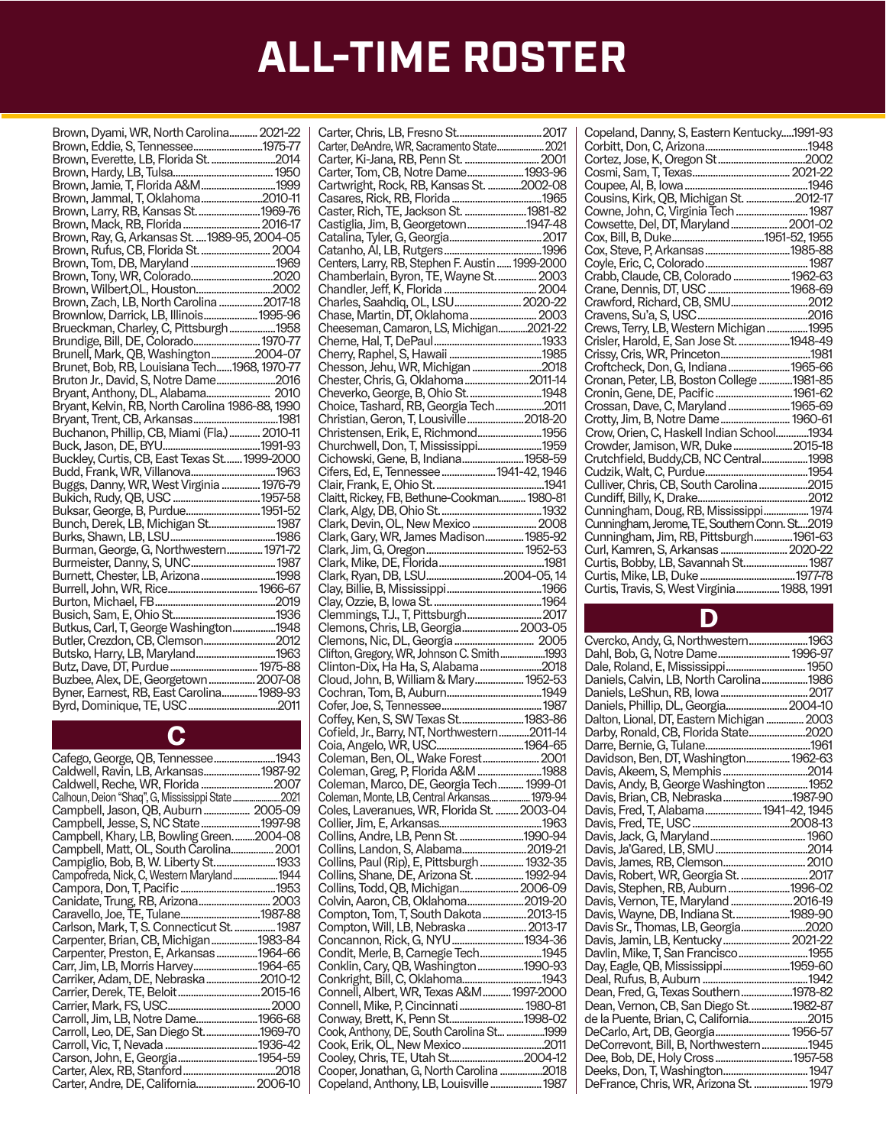| Brown, Dyami, WR, North Carolina 2021-22                                         |  |
|----------------------------------------------------------------------------------|--|
| Brown, Eddie, S, Tennessee1975-77                                                |  |
| Brown, Everette, LB, Florida St. 2014                                            |  |
|                                                                                  |  |
| Brown, Jamie, T, Florida A&M1999                                                 |  |
|                                                                                  |  |
| Brown, Jammal, T, Oklahoma2010-11                                                |  |
| Brown, Larry, RB, Kansas St.  1969-76                                            |  |
|                                                                                  |  |
|                                                                                  |  |
| Brown, Rufus, CB, Florida St.  2004                                              |  |
|                                                                                  |  |
| Brown, Tom, DB, Maryland 1969                                                    |  |
|                                                                                  |  |
| Brown, Wilbert, OL, Houston2002                                                  |  |
| Brown, Zach, LB, North Carolina 2017-18                                          |  |
|                                                                                  |  |
| Brownlow, Darrick, LB, Illinois 1995-96<br>Brueckman, Charley, C, Pittsburgh1958 |  |
|                                                                                  |  |
| Brundige, Bill, DE, Colorado 1970-77                                             |  |
| Brunell, Mark, QB, Washington2004-07                                             |  |
| Brunet, Bob, RB, Louisiana Tech1968, 1970-77                                     |  |
| Bruton Jr., David, S, Notre Dame2016                                             |  |
|                                                                                  |  |
|                                                                                  |  |
|                                                                                  |  |
|                                                                                  |  |
|                                                                                  |  |
|                                                                                  |  |
| Buckley, Curtis, CB, East Texas St  1999-2000                                    |  |
|                                                                                  |  |
| Buggs, Danny, WR, West Virginia  1976-79                                         |  |
|                                                                                  |  |
| Buksar, George, B, Purdue 1951-52                                                |  |
|                                                                                  |  |
| Bunch, Derek, LB, Michigan St 1987                                               |  |
|                                                                                  |  |
| Burman, George, G, Northwestern 1971-72                                          |  |
|                                                                                  |  |
| Burnett, Chester, LB, Arizona 1998                                               |  |
|                                                                                  |  |
|                                                                                  |  |
|                                                                                  |  |
|                                                                                  |  |
| Butkus, Carl, T, George Washington1948                                           |  |
| Butler, Crezdon, CB, Clemson2012                                                 |  |
| Butsko, Harry, LB, Maryland 1963                                                 |  |
|                                                                                  |  |
| Buzbee, Alex, DE, Georgetown  2007-08                                            |  |
|                                                                                  |  |
| Byner, Earnest, RB, East Carolina 1989-93                                        |  |
|                                                                                  |  |

#### C

| Cafego, George, QB, Tennessee1943          |  |
|--------------------------------------------|--|
| Caldwell, Ravin, LB, Arkansas 1987-92      |  |
|                                            |  |
|                                            |  |
| Campbell, Jason, QB, Auburn 2005-09        |  |
| Campbell, Jesse, S, NC State1997-98        |  |
| Campbell, Khary, LB, Bowling Green2004-08  |  |
| Campbell, Matt, OL, South Carolina 2001    |  |
| Campiglio, Bob, B, W. Liberty St1933       |  |
| Campofreda, Nick, C, Western Maryland 1944 |  |
|                                            |  |
|                                            |  |
| Caravello, Joe, TE, Tulane1987-88          |  |
| Carlson, Mark, T, S. Connecticut St.  1987 |  |
| Carpenter, Brian, CB, Michigan1983-84      |  |
| Carpenter, Preston, E, Arkansas 1964-66    |  |
| Carr, Jim, LB, Morris Harvey1964-65        |  |
| Carriker, Adam, DE, Nebraska2010-12        |  |
|                                            |  |
|                                            |  |
| Carroll, Jim, LB, Notre Dame1966-68        |  |
| Carroll, Leo, DE, San Diego St1969-70      |  |
|                                            |  |
| Carson, John, E, Georgia1954-59            |  |
|                                            |  |
| Carter, Andre, DE, California 2006-10      |  |

| Carter, DeAndre, WR, Sacramento State 2021                                          |
|-------------------------------------------------------------------------------------|
|                                                                                     |
|                                                                                     |
| Carter, Tom, CB, Notre Dame 1993-96                                                 |
| Cartwright, Rock, RB, Kansas St. 2002-08                                            |
|                                                                                     |
|                                                                                     |
| Caster, Rich, TE, Jackson St.  1981-82                                              |
| Castiglia, Jim, B, Georgetown1947-48                                                |
|                                                                                     |
|                                                                                     |
|                                                                                     |
|                                                                                     |
| Chamberlain, Byron, TE, Wayne St.  2003                                             |
|                                                                                     |
|                                                                                     |
| Charles, Saahdiq, OL, LSU 2020-22                                                   |
|                                                                                     |
| Cheeseman, Camaron, LS, Michigan2021-22                                             |
|                                                                                     |
|                                                                                     |
|                                                                                     |
| Chesson, Jehu, WR, Michigan 2018                                                    |
|                                                                                     |
| Chester, Chris, G, Oklahoma2011-14                                                  |
| Cheverko, George, B, Ohio St1948                                                    |
| Choice, Tashard, RB, Georgia Tech2011                                               |
|                                                                                     |
| Christian, Geron, T, Lousiville2018-20<br>Christensen, Erik, E, Richmond1956        |
|                                                                                     |
| Churchwell, Don, T, Mississippi1959                                                 |
| Cichowski, Gene, B, Indiana1958-59                                                  |
|                                                                                     |
| Cifers, Ed, E, Tennessee  1941-42, 1946                                             |
|                                                                                     |
| Claitt, Rickey, FB, Bethune-Cookman 1980-81                                         |
|                                                                                     |
|                                                                                     |
| Clark, Devin, OL, New Mexico  2008                                                  |
| Clark, Gary, WR, James Madison 1985-92                                              |
|                                                                                     |
|                                                                                     |
|                                                                                     |
| Clark, Ryan, DB, LSU2004-05, 14                                                     |
|                                                                                     |
|                                                                                     |
|                                                                                     |
|                                                                                     |
|                                                                                     |
| Clemmings, T.J., T, Pittsburgh 2017                                                 |
| Clemons, Chris, LB, Georgia 2003-05                                                 |
|                                                                                     |
|                                                                                     |
|                                                                                     |
| Clinton-Dix, Ha Ha, S, Alabama 2018                                                 |
| Cloud, John, B, William & Mary 1952-53                                              |
|                                                                                     |
|                                                                                     |
|                                                                                     |
| Coffey, Ken, S, SW Texas St1983-86                                                  |
| Cofield, Jr., Barry, NT, Northwestern2011-14                                        |
|                                                                                     |
|                                                                                     |
|                                                                                     |
| Coleman, Greg, P, Florida A&M 1988                                                  |
| Coleman, Marco, DE, Georgia Tech 1999-01                                            |
|                                                                                     |
| Coleman, Monte, LB, Central Arkansas  1979-94                                       |
| Coles, Laveranues, WR, Florida St.  2003-04                                         |
|                                                                                     |
|                                                                                     |
| Collins, Andre, LB, Penn St. 1990-94                                                |
| Collins, Landon, S, Alabama2019-21                                                  |
| Collins, Paul (Rip), E, Pittsburgh  1932-35                                         |
| Collins, Shane, DE, Arizona St.  1992-94                                            |
|                                                                                     |
| Collins, Todd, QB, Michigan 2006-09                                                 |
| Colvin, Aaron, CB, Oklahoma2019-20                                                  |
| Compton, Tom, T, South Dakota  2013-15                                              |
|                                                                                     |
| Compton, Will, LB, Nebraska 2013-17                                                 |
| Concannon, Rick, G, NYU 1934-36                                                     |
| Condit, Merle, B, Carnegie Tech1945                                                 |
| Conklin, Cary, QB, Washington1990-93                                                |
|                                                                                     |
| Conkright, Bill, C, Oklahoma1943                                                    |
| Connell, Albert, WR, Texas A&M 1997-2000                                            |
| Connell, Mike, P, Cincinnati  1980-81                                               |
|                                                                                     |
| Conway, Brett, K, Penn St1998-02                                                    |
| Cook, Anthony, DE, South Carolina St 1999                                           |
|                                                                                     |
|                                                                                     |
|                                                                                     |
| Cooper, Jonathan, G, North Carolina 2018<br>Copeland, Anthony, LB, Louisville  1987 |

| Copeland, Danny, S, Eastern Kentucky1991-93   |  |
|-----------------------------------------------|--|
|                                               |  |
|                                               |  |
|                                               |  |
|                                               |  |
| Cousins, Kirk, QB, Michigan St. 2012-17       |  |
| Cowne, John, C, Virginia Tech  1987           |  |
| Cowsette, Del, DT, Maryland  2001-02          |  |
|                                               |  |
|                                               |  |
|                                               |  |
| Crabb, Claude, CB, Colorado  1962-63          |  |
| Crane, Dennis, DT, USC 1968-69                |  |
| Crawford, Richard, CB, SMU2012                |  |
|                                               |  |
| Crews, Terry, LB, Western Michigan  1995      |  |
| Crisler, Harold, E, San Jose St. 1948-49      |  |
|                                               |  |
| Croftcheck, Don, G, Indiana  1965-66          |  |
| Cronan, Peter, LB, Boston College 1981-85     |  |
| Cronin, Gene, DE, Pacific  1961-62            |  |
| Crossan, Dave, C, Maryland  1965-69           |  |
| Crotty, Jim, B, Notre Dame 1960-61            |  |
| Crow, Orien, C, Haskell Indian School1934     |  |
| Crowder, Jamison, WR, Duke2015-18             |  |
| Crutchfield, Buddy,CB, NC Central1998         |  |
|                                               |  |
| Culliver, Chris, CB, South Carolina2015       |  |
|                                               |  |
| Cunningham, Doug, RB, Mississippi 1974        |  |
| Cunningham, Jerome, TE, Southern Conn. St2019 |  |
|                                               |  |
|                                               |  |
|                                               |  |
|                                               |  |
| Curtis, Travis, S, West Virginia 1988, 1991   |  |
|                                               |  |

#### D

| Cvercko, Andy, G, Northwestern1963<br>Dahl, Bob, G, Notre Dame 1996-97       |  |
|------------------------------------------------------------------------------|--|
|                                                                              |  |
| Daniels, Calvin, LB, North Carolina1986                                      |  |
|                                                                              |  |
| Daniels, Phillip, DL, Georgia 2004-10                                        |  |
| Dalton, Lional, DT, Eastern Michigan  2003                                   |  |
| Darby, Ronald, CB, Florida State2020                                         |  |
|                                                                              |  |
| Davidson, Ben, DT, Washington 1962-63                                        |  |
|                                                                              |  |
| Davis, Andy, B, George Washington  1952                                      |  |
| Davis, Brian, CB, Nebraska 1987-90<br>Davis, Fred, T, Alabama  1941-42, 1945 |  |
|                                                                              |  |
|                                                                              |  |
|                                                                              |  |
|                                                                              |  |
|                                                                              |  |
| Davis, Robert, WR, Georgia St.  2017                                         |  |
| Davis, Stephen, RB, Auburn 1996-02                                           |  |
| Davis, Vernon, TE, Maryland 2016-19                                          |  |
| Davis, Wayne, DB, Indiana St1989-90                                          |  |
| Davis Sr., Thomas, LB, Georgia2020                                           |  |
| Davis, Jamin, LB, Kentucky 2021-22                                           |  |
| Davlin, Mike, T, San Francisco1955                                           |  |
| Day, Eagle, QB, Mississippi1959-60                                           |  |
|                                                                              |  |
| Dean, Fred, G, Texas Southern1978-82                                         |  |
| Dean, Vernon, CB, San Diego St1982-87                                        |  |
| de la Puente, Brian, C, California2015                                       |  |
| DeCarlo, Art, DB, Georgia 1956-57                                            |  |
| DeCorrevont, Bill, B, Northwestern1945                                       |  |
| Dee, Bob, DE, Holy Cross 1957-58                                             |  |
| Deeks, Don, T, Washington 1947                                               |  |
| DeFrance, Chris, WR, Arizona St.  1979                                       |  |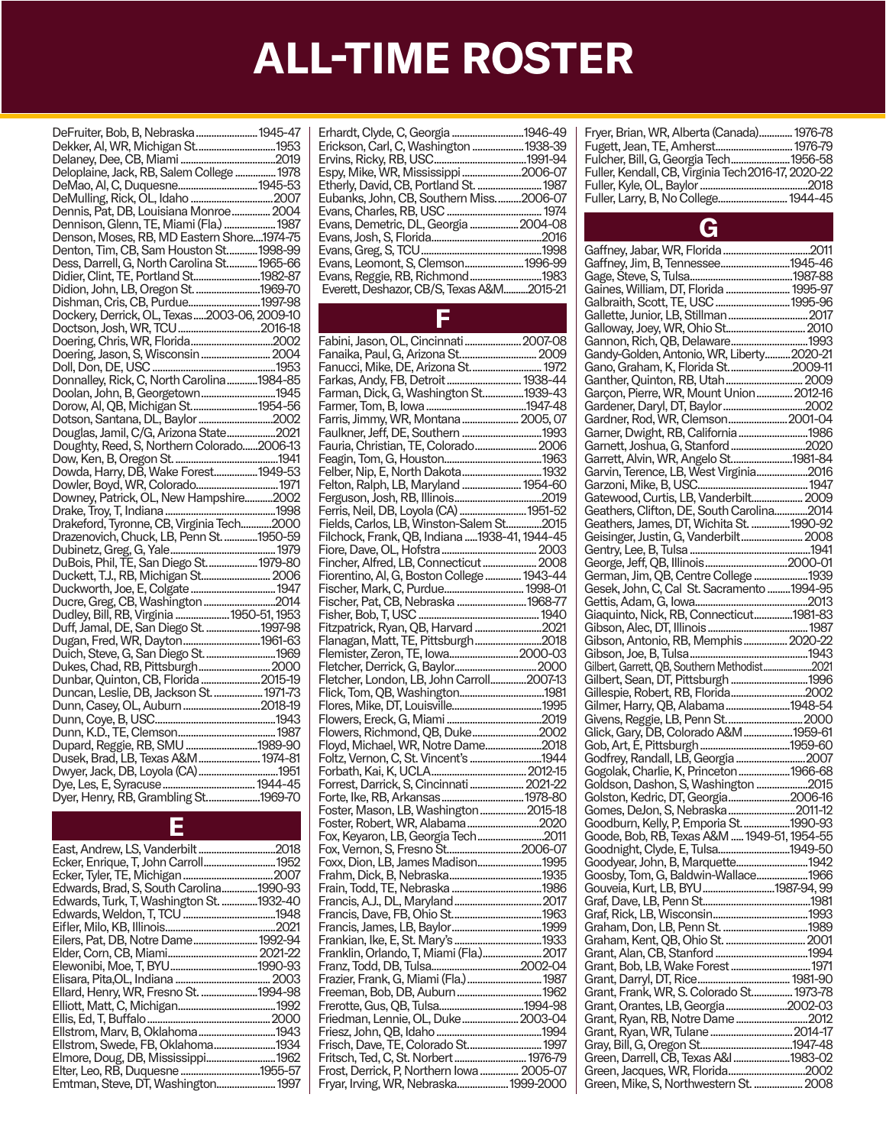| DeFruiter, Bob, B, Nebraska  1945-47        |  |
|---------------------------------------------|--|
| Dekker, AI, WR, Michigan St1953             |  |
|                                             |  |
| Deloplaine, Jack, RB, Salem College  1978   |  |
|                                             |  |
|                                             |  |
|                                             |  |
| Dennis, Pat, DB, Louisiana Monroe 2004      |  |
| Dennison, Glenn, TE, Miami (Fla.)  1987     |  |
| Denson, Moses, RB, MD Eastern Shore1974-75  |  |
| Denton, Tim, CB, Sam Houston St1998-99      |  |
| Dess, Darrell, G, North Carolina St 1965-66 |  |
| Didier, Clint, TE, Portland St 1982-87      |  |
|                                             |  |
| Didion, John, LB, Oregon St. 1969-70        |  |
| Dishman, Cris, CB, Purdue1997-98            |  |
| Dockery, Derrick, OL, Texas2003-06, 2009-10 |  |
|                                             |  |
|                                             |  |
|                                             |  |
|                                             |  |
|                                             |  |
|                                             |  |
| Doolan, John, B, Georgetown1945             |  |
| Dorow, Al, QB, Michigan St1954-56           |  |
|                                             |  |
| Douglas, Jamil, C/G, Arizona State2021      |  |
|                                             |  |
| Doughty, Reed, S, Northern Colorado2006-13  |  |
|                                             |  |
| Dowda, Harry, DB, Wake Forest 1949-53       |  |
| Dowler, Boyd, WR, Colorado 1971             |  |
| Downey, Patrick, OL, New Hampshire2002      |  |
|                                             |  |
|                                             |  |
|                                             |  |
| Drazenovich, Chuck, LB, Penn St. 1950-59    |  |
|                                             |  |
| DuBois, Phil, TE, San Diego St 1979-80      |  |
| Duckett, T.J., RB, Michigan St 2006         |  |
| Duckworth, Joe, E, Colgate  1947            |  |
|                                             |  |
|                                             |  |
|                                             |  |
| Duff, Jamal, DE, San Diego St.  1997-98     |  |
| Dugan, Fred, WR, Dayton1961-63              |  |
|                                             |  |
|                                             |  |
| Dunbar, Quinton, CB, Florida  2015-19       |  |
| Duncan, Leslie, DB, Jackson St.  1971-73    |  |
|                                             |  |
|                                             |  |
|                                             |  |
|                                             |  |
| Dupard, Reggie, RB, SMU 1989-90             |  |
| Dusek, Brad, LB, Texas A&M  1974-81         |  |
| Dwyer, Jack, DB, Loyola (CA)1951            |  |
|                                             |  |
|                                             |  |
|                                             |  |
|                                             |  |

E

| East, Andrew, LS, Vanderbilt2018         |  |
|------------------------------------------|--|
| Ecker, Enrique, T, John Carroll 1952     |  |
|                                          |  |
| Edwards, Brad, S, South Carolina1990-93  |  |
| Edwards, Turk, T, Washington St. 1932-40 |  |
|                                          |  |
|                                          |  |
| Eilers, Pat, DB, Notre Dame 1992-94      |  |
|                                          |  |
| Elewonibi, Moe, T, BYU1990-93            |  |
|                                          |  |
| Ellard, Henry, WR, Fresno St. 1994-98    |  |
|                                          |  |
|                                          |  |
| Ellstrom, Marv, B, Oklahoma1943          |  |
| Ellstrom, Swede, FB, Oklahoma1934        |  |
| Elmore, Doug, DB, Mississippi 1962       |  |
| Elter, Leo, RB, Duquesne 1955-57         |  |
| Emtman, Steve, DT, Washington 1997       |  |

| 1946-49                                   |
|-------------------------------------------|
| .1938-39                                  |
| .1991-94                                  |
| 2006-07                                   |
| Etherly, David, CB, Portland St.  1987    |
| .2006-07                                  |
|                                           |
| 2004-08                                   |
| .2016                                     |
| .1998                                     |
|                                           |
| 1983                                      |
| Everett, Deshazor, CB/S, Texas A&M2015-21 |
|                                           |

#### F

| Fabini, Jason, OL, Cincinnati  2007-08                                  |  |
|-------------------------------------------------------------------------|--|
| Fanaika, Paul, G, Arizona St 2009<br>Fanucci, Mike, DE, Arizona St 1972 |  |
|                                                                         |  |
|                                                                         |  |
|                                                                         |  |
|                                                                         |  |
|                                                                         |  |
|                                                                         |  |
|                                                                         |  |
|                                                                         |  |
|                                                                         |  |
|                                                                         |  |
|                                                                         |  |
|                                                                         |  |
|                                                                         |  |
|                                                                         |  |
| Filchock, Frank, QB, Indiana 1938-41, 1944-45                           |  |
|                                                                         |  |
| Fincher, Alfred, LB, Connecticut  2008                                  |  |
|                                                                         |  |
|                                                                         |  |
|                                                                         |  |
|                                                                         |  |
|                                                                         |  |
|                                                                         |  |
|                                                                         |  |
|                                                                         |  |
|                                                                         |  |
|                                                                         |  |
|                                                                         |  |
|                                                                         |  |
|                                                                         |  |
|                                                                         |  |
|                                                                         |  |
| Floyd, Michael, WR, Notre Dame2018                                      |  |
| Foltz, Vernon, C, St. Vincent's 1944                                    |  |
|                                                                         |  |
|                                                                         |  |
|                                                                         |  |
|                                                                         |  |
|                                                                         |  |
|                                                                         |  |
|                                                                         |  |
| Foxx, Dion, LB, James Madison1995                                       |  |
|                                                                         |  |
|                                                                         |  |
|                                                                         |  |
|                                                                         |  |
|                                                                         |  |
|                                                                         |  |
|                                                                         |  |
|                                                                         |  |
|                                                                         |  |
|                                                                         |  |
|                                                                         |  |
|                                                                         |  |
|                                                                         |  |
|                                                                         |  |
|                                                                         |  |
|                                                                         |  |
|                                                                         |  |
|                                                                         |  |
| Fryar, Irving, WR, Nebraska 1999-2000                                   |  |

| Fryer, Brian, WR, Alberta (Canada) 1976-78          |  |
|-----------------------------------------------------|--|
| Fugett, Jean, TE, Amherst 1976-79                   |  |
| Fulcher, Bill, G, Georgia Tech1956-58               |  |
| Fuller, Kendall, CB, Virginia Tech 2016-17, 2020-22 |  |
|                                                     |  |
| Fuller, Larry, B, No College 1944-45                |  |

### G

| Gaffney, Jim, B, Tennessee1945-46                                                      |  |
|----------------------------------------------------------------------------------------|--|
|                                                                                        |  |
|                                                                                        |  |
|                                                                                        |  |
|                                                                                        |  |
|                                                                                        |  |
|                                                                                        |  |
|                                                                                        |  |
| Gannon, Rich, QB, Delaware1993                                                         |  |
|                                                                                        |  |
| Gandy-Golden, Antonio, WR, Liberty2020-21                                              |  |
| Gano, Graham, K, Florida St2009-11                                                     |  |
|                                                                                        |  |
|                                                                                        |  |
| Garçon, Pierre, WR, Mount Union 2012-16                                                |  |
|                                                                                        |  |
|                                                                                        |  |
| Gardner, Rod, WR, Clemson2001-04                                                       |  |
|                                                                                        |  |
| Garner, Dwight, RB, California1986                                                     |  |
| Garnett, Joshua, G, Stanford 2020                                                      |  |
|                                                                                        |  |
| Garrett, Alvin, WR, Angelo St1981-84                                                   |  |
| Garvin, Terence, LB, West Virginia2016                                                 |  |
|                                                                                        |  |
|                                                                                        |  |
|                                                                                        |  |
|                                                                                        |  |
|                                                                                        |  |
| Ceathers, Clifton, DE, South Carolina2014<br>Geathers, James, DT, Wichita St. 1990-92  |  |
|                                                                                        |  |
| Geisinger, Justin, G, Vanderbilt 2008                                                  |  |
|                                                                                        |  |
|                                                                                        |  |
|                                                                                        |  |
| German, Jim, QB, Centre College  1939                                                  |  |
| Gesek, John, C, Cal St. Sacramento  1994-95                                            |  |
|                                                                                        |  |
|                                                                                        |  |
| Giaquinto, Nick, RB, Connecticut1981-83                                                |  |
|                                                                                        |  |
|                                                                                        |  |
|                                                                                        |  |
|                                                                                        |  |
|                                                                                        |  |
|                                                                                        |  |
|                                                                                        |  |
| Gilbert, Sean, DT, Pittsburgh  1996                                                    |  |
| Gillespie, Robert, RB, Florida2002                                                     |  |
|                                                                                        |  |
| Gilmer, Harry, QB, Alabama1948-54                                                      |  |
|                                                                                        |  |
|                                                                                        |  |
|                                                                                        |  |
|                                                                                        |  |
|                                                                                        |  |
|                                                                                        |  |
|                                                                                        |  |
|                                                                                        |  |
| Gogolak, Charlie, K, Princeton  1966-68                                                |  |
| Goldson, Dashon, S, Washington 2015                                                    |  |
|                                                                                        |  |
| Golston, Kedric, DT, Georgia2006-16                                                    |  |
| Gomes, DeJon, S, Nebraska  2011-12                                                     |  |
|                                                                                        |  |
|                                                                                        |  |
| Goodburn, Kelly, P, Emporia St. 1990-93<br>Goode, Bob, RB, Texas A&M  1949-51, 1954-55 |  |
| Goodnight, Clyde, E, Tulsa1949-50                                                      |  |
|                                                                                        |  |
| Goodyear, John, B, Marquette 1942                                                      |  |
| Goosby, Tom, G, Baldwin-Wallace1966                                                    |  |
|                                                                                        |  |
| Gouveia, Kurt, LB, BYU 1987-94, 99                                                     |  |
|                                                                                        |  |
|                                                                                        |  |
|                                                                                        |  |
|                                                                                        |  |
|                                                                                        |  |
|                                                                                        |  |
|                                                                                        |  |
| Grant, Bob, LB, Wake Forest  1971                                                      |  |
|                                                                                        |  |
|                                                                                        |  |
| Grant, Frank, WR, S. Colorado St 1973-78                                               |  |
|                                                                                        |  |
| Grant, Orantes, LB, Georgia2002-03                                                     |  |
| Grant, Ryan, RB, Notre Dame2012                                                        |  |
|                                                                                        |  |
| Grant, Ryan, WR, Tulane  2014-17                                                       |  |
|                                                                                        |  |
|                                                                                        |  |
| Green, Darrell, CB, Texas A&I 1983-02                                                  |  |
|                                                                                        |  |
| Green, Mike, S, Northwestern St.  2008                                                 |  |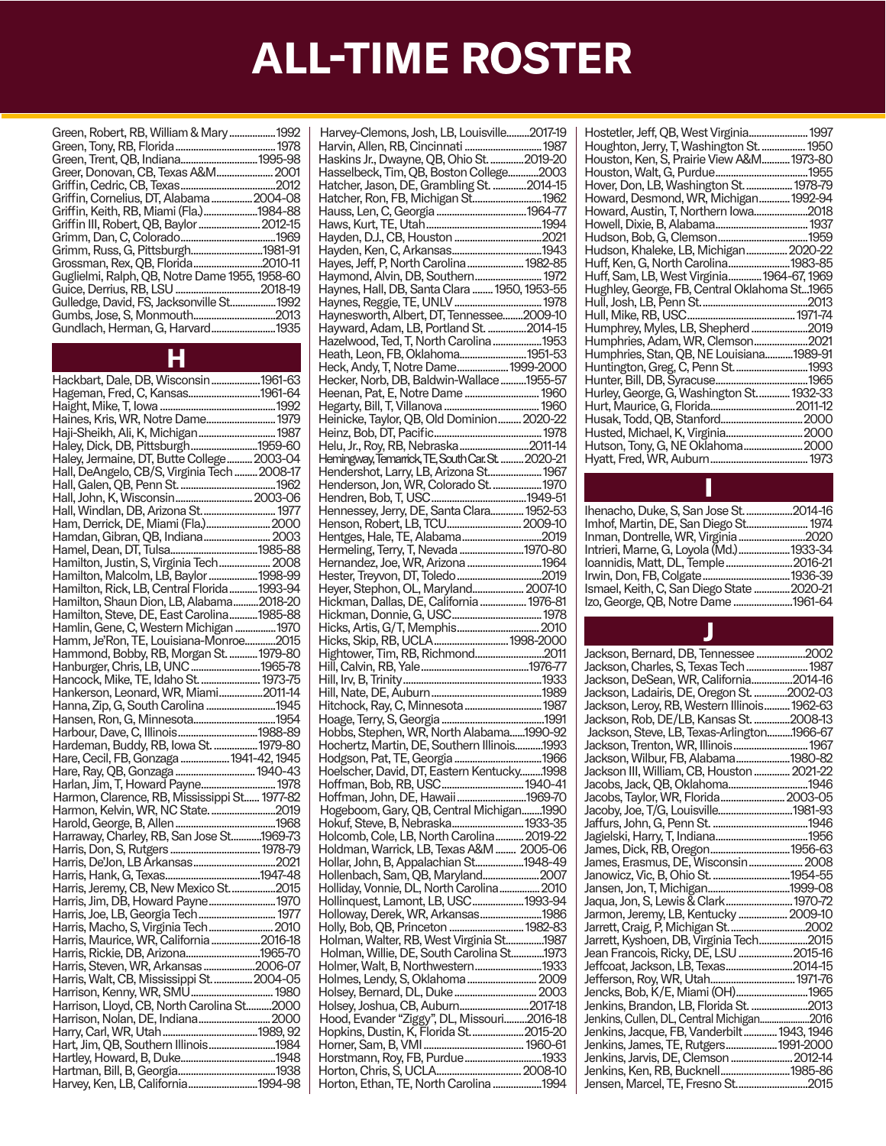| Green, Robert, RB, William & Mary  1992        |  |
|------------------------------------------------|--|
|                                                |  |
|                                                |  |
| Greer, Donovan, CB, Texas A&M 2001             |  |
|                                                |  |
| Griffin, Cornelius, DT, Alabama2004-08         |  |
| Griffin, Keith, RB, Miami (Fla.)1984-88        |  |
| Griffin III, Robert, OB, Baylor  2012-15       |  |
|                                                |  |
| Grimm, Russ, G, Pittsburgh1981-91              |  |
| Grossman, Rex, QB, Florida2010-11              |  |
| Guglielmi, Ralph, QB, Notre Dame 1955, 1958-60 |  |
|                                                |  |
| Gulledge, David, FS, Jacksonville St1992       |  |
|                                                |  |
| Gundlach, Herman, G, Harvard1935               |  |
|                                                |  |

H

| Hackbart, Dale, DB, Wisconsin1961-63         |  |
|----------------------------------------------|--|
| Hageman, Fred, C, Kansas1961-64              |  |
|                                              |  |
|                                              |  |
| Haji-Sheikh, Ali, K, Michigan 1987           |  |
| Haley, Dick, DB, Pittsburgh1959-60           |  |
| Haley, Jermaine, DT, Butte College 2003-04   |  |
| Hall, DeAngelo, CB/S, Virginia Tech  2008-17 |  |
|                                              |  |
|                                              |  |
|                                              |  |
|                                              |  |
| Ham, Derrick, DE, Miami (Fla.) 2000          |  |
| Hamdan, Gibran, QB, Indiana 2003             |  |
|                                              |  |
|                                              |  |
|                                              |  |
|                                              |  |
| Hamilton, Shaun Dion, LB, Alabama2018-20     |  |
| Hamilton, Steve, DE, East Carolina 1985-88   |  |
| Hamlin, Gene, C, Western Michigan  1970      |  |
| Hamm, Je'Ron, TE, Louisiana-Monroe2015       |  |
| Hammond, Bobby, RB, Morgan St.  1979-80      |  |
| Hanburger, Chris, LB, UNC1965-78             |  |
| Hancock, Mike, TE, Idaho St.  1973-75        |  |
| Hankerson, Leonard, WR, Miami2011-14         |  |
| Hanna, Zip, G, South Carolina 1945           |  |
| Hansen, Ron, G, Minnesota1954                |  |
|                                              |  |
|                                              |  |
|                                              |  |
|                                              |  |
|                                              |  |
| Hare, Ray, QB, Gonzaga  1940-43              |  |
|                                              |  |
|                                              |  |
|                                              |  |
|                                              |  |
|                                              |  |
|                                              |  |
|                                              |  |
|                                              |  |
|                                              |  |
|                                              |  |
| Harris, Jim, DB, Howard Payne 1970           |  |
|                                              |  |
| Harris, Macho, S, Virginia Tech 2010         |  |
| Harris, Maurice, WR, California 2016-18      |  |
| Harris, Rickie, DB, Arizona1965-70           |  |
| Harris, Steven, WR, Arkansas 2006-07         |  |
| Harris, Walt, CB, Mississippi St.  2004-05   |  |
|                                              |  |
|                                              |  |
|                                              |  |
|                                              |  |
|                                              |  |
|                                              |  |
| Harvey, Ken, LB, California1994-98           |  |

| Harvey-Clemons, Josh, LB, Louisville2017-19       |  |
|---------------------------------------------------|--|
|                                                   |  |
| Harvin, Allen, RB, Cincinnati  1987               |  |
| Haskins Jr., Dwayne, QB, Ohio St. 2019-20         |  |
| Hasselbeck, Tim, QB, Boston College2003           |  |
| Hatcher, Jason, DE, Grambling St. 2014-15         |  |
| Hatcher, Ron, FB, Michigan St 1962                |  |
|                                                   |  |
|                                                   |  |
|                                                   |  |
|                                                   |  |
| Hayes, Jeff, P, North Carolina  1982-85           |  |
|                                                   |  |
| Haymond, Alvin, DB, Southern 1972                 |  |
| Haynes, Hall, DB, Santa Clara  1950, 1953-55      |  |
| Haynes, Reggie, TE, UNLV  1978                    |  |
| Haynesworth, Albert, DT, Tennessee2009-10         |  |
| Hayward, Adam, LB, Portland St. 2014-15           |  |
| Hazelwood, Ted, T, North Carolina  1953           |  |
| Heath, Leon, FB, Oklahoma1951-53                  |  |
| Heck, Andy, T, Notre Dame 1999-2000               |  |
|                                                   |  |
| Hecker, Norb, DB, Baldwin-Wallace1955-57          |  |
| Heenan, Pat, E, Notre Dame  1960                  |  |
|                                                   |  |
| Heinicke, Taylor, QB, Old Dominion 2020-22        |  |
|                                                   |  |
| Helu, Jr., Roy, RB, Nebraska2011-14               |  |
| Hemingway, Temarrick, TE, South Car. St.  2020-21 |  |
| Hendershot, Larry, LB, Arizona St 1967            |  |
| Henderson, Jon, WR, Colorado St.  1970            |  |
|                                                   |  |
|                                                   |  |
| Hennessey, Jerry, DE, Santa Clara 1952-53         |  |
|                                                   |  |
| Hentges, Hale, TE, Alabama2019                    |  |
| Hermeling, Terry, T, Nevada 1970-80               |  |
| Hernandez, Joe, WR, Arizona 1964                  |  |
|                                                   |  |
| Heyer, Stephon, OL, Maryland 2007-10              |  |
| Hickman, Dallas, DE, California  1976-81          |  |
|                                                   |  |
|                                                   |  |
|                                                   |  |
|                                                   |  |
|                                                   |  |
|                                                   |  |
| Hightower, Tim, RB, Richmond2011                  |  |
|                                                   |  |
|                                                   |  |
|                                                   |  |
| Hitchock, Ray, C, Minnesota  1987                 |  |
|                                                   |  |
| Hobbs, Stephen, WR, North Alabama1990-92          |  |
| Hochertz, Martin, DE, Southern Illinois1993       |  |
|                                                   |  |
|                                                   |  |
| Hoelscher, David, DT, Eastern Kentucky1998        |  |
|                                                   |  |
|                                                   |  |
| Hogeboom, Gary, QB, Central Michigan1990          |  |
| Hokuf, Steve, B, Nebraska 1933-35                 |  |
| Holcomb, Cole, LB, North Carolina 2019-22         |  |
| Holdman, Warrick, LB, Texas A&M  2005-06          |  |
| Hollar, John, B, Appalachian St1948-49            |  |
|                                                   |  |
| Hollenbach, Sam, QB, Maryland2007                 |  |
| Holliday, Vonnie, DL, North Carolina 2010         |  |
| Hollinquest, Lamont, LB, USC1993-94               |  |
| Holloway, Derek, WR, Arkansas1986                 |  |
| Holly, Bob, QB, Princeton  1982-83                |  |
| Holman, Walter, RB, West Virginia St1987          |  |
| Holman, Willie, DE, South Carolina St1973         |  |
| Holmer, Walt, B, Northwestern1933                 |  |
| Holmes, Lendy, S, Oklahoma  2009                  |  |
|                                                   |  |
| Holsey, Bernard, DL, Duke 2003                    |  |
| Holsey, Joshua, CB, Auburn2017-18                 |  |
| Hood, Evander "Ziggy", DL, Missouri2016-18        |  |
| Hopkins, Dustin, K, Florida St2015-20             |  |
|                                                   |  |
| Horstmann, Roy, FB, Purdue1933                    |  |
| Horton, Ethan, TE, North Carolina 1994            |  |

| Hostetler, Jeff, QB, West Virginia 1997      |  |
|----------------------------------------------|--|
| Houghton, Jerry, T, Washington St.  1950     |  |
| Houston, Ken, S, Prairie View A&M 1973-80    |  |
|                                              |  |
| Hover, Don, LB, Washington St.  1978-79      |  |
| Howard, Desmond, WR, Michigan 1992-94        |  |
| Howard, Austin, T, Northern Iowa2018         |  |
|                                              |  |
|                                              |  |
| Hudson, Khaleke, LB, Michigan 2020-22        |  |
| Huff, Ken, G, North Carolina1983-85          |  |
| Huff, Sam, LB, West Virginia1964-67, 1969    |  |
| Hughley, George, FB, Central Oklahoma St1965 |  |
|                                              |  |
|                                              |  |
| Humphrey, Myles, LB, Shepherd2019            |  |
|                                              |  |
| Humphries, Stan, QB, NE Louisiana1989-91     |  |
|                                              |  |
|                                              |  |
| Hurley, George, G, Washington St.  1932-33   |  |
|                                              |  |
|                                              |  |
|                                              |  |
| Hutson, Tony, G, NE Oklahoma 2000            |  |
|                                              |  |
|                                              |  |

| Ihenacho, Duke, S, San Jose St.<br>Imhof, Martin, DE, San Diego St. | 2014-16<br>1974    |
|---------------------------------------------------------------------|--------------------|
| Inman, Dontrelle, WR, Virginia                                      | .2020              |
| Intrieri, Marne, G, Loyola (Md.)<br>loannidis, Matt, DL, Temple     | 1933-34<br>2016-21 |
| Ismael, Keith, C, San Diego State.                                  | 1936-39<br>2020-21 |
|                                                                     | .1961-64           |
|                                                                     |                    |

| Jackson, Bernard, DB, Tennessee 2002                                    |  |
|-------------------------------------------------------------------------|--|
| Jackson, Charles, S, Texas Tech  1987                                   |  |
| Jackson, DeSean, WR, California2014-16                                  |  |
| Jackson, Ladairis, DE, Oregon St. 2002-03                               |  |
| Jackson, Leroy, RB, Western Illinois 1962-63                            |  |
| Jackson, Rob, DE/LB, Kansas St. 2008-13                                 |  |
| Jackson, Steve, LB, Texas-Arlington1966-67                              |  |
| Jackson, Trenton, WR, Illinois 1967                                     |  |
| Jackson, Wilbur, FB, Alabama1980-82                                     |  |
| Jackson III, William, CB, Houston  2021-22                              |  |
| Jacobs, Jack, QB, Oklahoma1946                                          |  |
| Jacobs, Taylor, WR, Florida 2003-05                                     |  |
|                                                                         |  |
|                                                                         |  |
|                                                                         |  |
| James, Dick, RB, Oregon1956-63                                          |  |
| James, Erasmus, DE, Wisconsin 2008                                      |  |
| Janowicz, Vic, B, Ohio St. 1954-55                                      |  |
| Jansen, Jon, T, Michigan1999-08<br>Jaqua, Jon, S, Lewis & Clark 1970-72 |  |
|                                                                         |  |
| Jarmon, Jeremy, LB, Kentucky  2009-10                                   |  |
|                                                                         |  |
| Jarrett, Kyshoen, DB, Virginia Tech2015                                 |  |
| Jean Francois, Ricky, DE, LSU 2015-16                                   |  |
| Jeffcoat, Jackson, LB, Texas2014-15                                     |  |
| Jefferson, Roy, WR, Utah 1971-76                                        |  |
| Jencks, Bob, K/E, Miami (OH)1965                                        |  |
| Jenkins, Brandon, LB, Florida St. 2013                                  |  |
| Jenkins, Cullen, DL, Central Michigan2016                               |  |
| Jenkins, Jacque, FB, Vanderbilt 1943, 1946                              |  |
| Jenkins, James, TE, Rutgers 1991-2000                                   |  |
| Jenkins, Jarvis, DE, Clemson  2012-14                                   |  |
| Jenkins, Ken, RB, Bucknell1985-86                                       |  |
| Jensen, Marcel, TE, Fresno St2015                                       |  |
|                                                                         |  |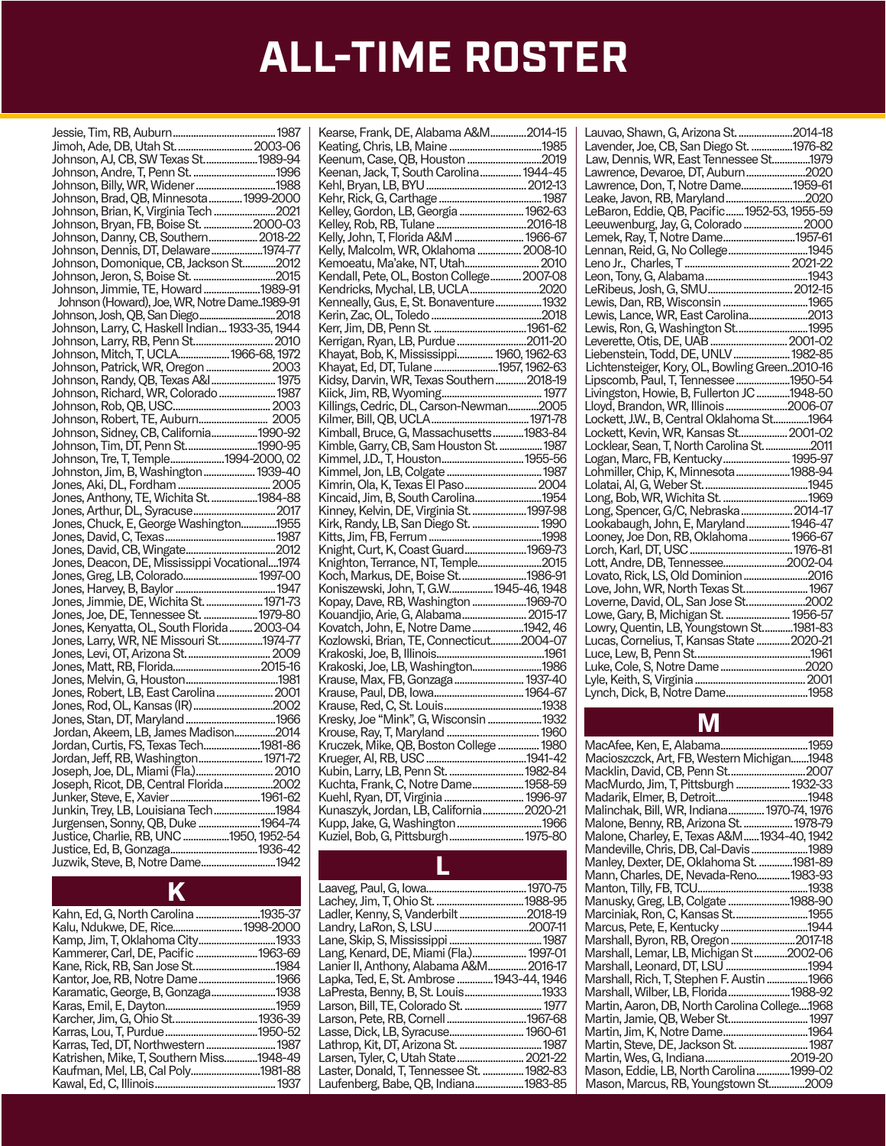| Johnson, AJ, CB, SW Texas St1989-94            |  |
|------------------------------------------------|--|
|                                                |  |
|                                                |  |
| Johnson, Brad, QB, Minnesota  1999-2000        |  |
| Johnson, Brian, K, Virginia Tech 2021          |  |
| Johnson, Bryan, FB, Boise St. 2000-03          |  |
|                                                |  |
| Johnson, Dennis, DT, Delaware1974-77           |  |
| Johnson, Domonique, CB, Jackson St2012         |  |
|                                                |  |
|                                                |  |
| Johnson (Howard), Joe, WR, Notre Dame. 1989-91 |  |
|                                                |  |
|                                                |  |
|                                                |  |
|                                                |  |
| Johnson, Patrick, WR, Oregon  2003             |  |
| Johnson, Randy, QB, Texas A&I 1975             |  |
| Johnson, Richard, WR, Colorado  1987           |  |
|                                                |  |
|                                                |  |
| Johnson, Sidney, CB, California1990-92         |  |
|                                                |  |
| Johnson, Tre, T, Temple1994-2000, 02           |  |
| Johnston, Jim, B, Washington  1939-40          |  |
|                                                |  |
|                                                |  |
|                                                |  |
|                                                |  |
|                                                |  |
|                                                |  |
|                                                |  |
|                                                |  |
|                                                |  |
| Jones, Jimmie, DE, Wichita St.  1971-73        |  |
|                                                |  |
|                                                |  |
|                                                |  |
|                                                |  |
|                                                |  |
|                                                |  |
| Jones, Robert, LB, East Carolina  2001         |  |
|                                                |  |
|                                                |  |
| Jordan, Akeem, LB, James Madison2014           |  |
| Jordan, Curtis, FS, Texas Tech1981-86          |  |
| Jordan, Jeff, RB, Washington 1971-72           |  |
|                                                |  |
| Joseph, Ricot, DB, Central Florida2002         |  |
|                                                |  |
|                                                |  |
|                                                |  |
|                                                |  |
|                                                |  |
| Juzwik, Steve, B, Notre Dame1942               |  |
|                                                |  |

| Kahn, Ed, G, North Carolina 1935-37      |          |
|------------------------------------------|----------|
|                                          |          |
|                                          |          |
| Kammerer, Carl, DE, Pacific 1963-69      |          |
|                                          |          |
|                                          |          |
| Karamatic, George, B, Gonzaga1938        |          |
|                                          | .1959    |
|                                          | .1936-39 |
|                                          | .1950-52 |
| Karras, Ted, DT, Northwestern 1987       |          |
| Katrishen, Mike, T, Southern Miss1948-49 |          |
| Kaufman, Mel, LB, Cal Poly1981-88        |          |
|                                          |          |

 $\overline{V}$ 

| Kearse, Frank, DE, Alabama A&M2014-15                                           |  |
|---------------------------------------------------------------------------------|--|
|                                                                                 |  |
|                                                                                 |  |
| Keenum, Case, QB, Houston 2019                                                  |  |
| Keenan, Jack, T, South Carolina  1944-45                                        |  |
|                                                                                 |  |
|                                                                                 |  |
|                                                                                 |  |
| Kelley, Gordon, LB, Georgia  1962-63                                            |  |
|                                                                                 |  |
| Kelly, John, T, Florida A&M  1966-67                                            |  |
|                                                                                 |  |
| Kelly, Malcolm, WR, Oklahoma  2008-10                                           |  |
| Kemoeatu, Ma'ake, NT, Utah 2010                                                 |  |
| Kendall, Pete, OL, Boston College 2007-08                                       |  |
| Kendricks, Mychal, LB, UCLA2020                                                 |  |
|                                                                                 |  |
|                                                                                 |  |
|                                                                                 |  |
|                                                                                 |  |
| Kerrigan, Ryan, LB, Purdue2011-20                                               |  |
| Khayat, Bob, K, Mississippi 1960, 1962-63                                       |  |
|                                                                                 |  |
| Khayat, Ed, DT, Tulane 1957, 1962-63                                            |  |
| Kidsy, Darvin, WR, Texas Southern2018-19                                        |  |
|                                                                                 |  |
| Killings, Cedric, DL, Carson-Newman2005                                         |  |
|                                                                                 |  |
|                                                                                 |  |
| Kimball, Bruce, G, Massachusetts 1983-84                                        |  |
| Kimble, Garry, CB, Sam Houston St.  1987                                        |  |
|                                                                                 |  |
|                                                                                 |  |
|                                                                                 |  |
|                                                                                 |  |
| Kincaid, Jim, B, South Carolina1954                                             |  |
| Kinney, Kelvin, DE, Virginia St. 1997-98                                        |  |
|                                                                                 |  |
| Kirk, Randy, LB, San Diego St.  1990                                            |  |
|                                                                                 |  |
| Knight, Curt, K, Coast Guard1969-73                                             |  |
| Knighton, Terrance, NT, Temple2015                                              |  |
| Koch, Markus, DE, Boise St.  1986-91                                            |  |
|                                                                                 |  |
| Koniszewski, John, T, G.W 1945-46, 1948                                         |  |
| Kopay, Dave, RB, Washington 1969-70                                             |  |
| Kouandjio, Arie, G, Alabama 2015-17                                             |  |
| Kovatch, John, E, Notre Dame1942, 46                                            |  |
| Kozlowski, Brian, TE, Connecticut2004-07                                        |  |
|                                                                                 |  |
|                                                                                 |  |
| Krakoski, Joe, LB, Washington1986                                               |  |
| Krause, Max, FB, Gonzaga  1937-40                                               |  |
|                                                                                 |  |
|                                                                                 |  |
|                                                                                 |  |
| Kresky, Joe "Mink", G, Wisconsin 1932                                           |  |
|                                                                                 |  |
|                                                                                 |  |
|                                                                                 |  |
|                                                                                 |  |
| Kubin, Larry, LB, Penn St.  1982-84                                             |  |
| Kuchta, Frank, C, Notre Dame 1958-59                                            |  |
|                                                                                 |  |
| Kuehl, Ryan, DT, Virginia  1996-97<br>Kunaszyk, Jordan, LB, California  2020-21 |  |
|                                                                                 |  |
|                                                                                 |  |
| Kuziel, Bob, G, Pittsburgh 1975-80                                              |  |

| Lauvao, Shawn, G, Arizona St. 2014-18                                                 |  |
|---------------------------------------------------------------------------------------|--|
| Lavender, Joe, CB, San Diego St. 1976-82                                              |  |
| Law, Dennis, WR, East Tennessee St1979                                                |  |
| Lawrence, Devaroe, DT, Auburn2020                                                     |  |
| Lawrence, Don, T, Notre Dame1959-61                                                   |  |
| Leake, Javon, RB, Maryland2020                                                        |  |
|                                                                                       |  |
| LeBaron, Eddie, QB, Pacific1952-53, 1955-59                                           |  |
| Leeuwenburg, Jay, G, Colorado  2000                                                   |  |
| Lemek, Ray, T̄, Notre Dame1957-61                                                     |  |
|                                                                                       |  |
|                                                                                       |  |
|                                                                                       |  |
|                                                                                       |  |
|                                                                                       |  |
| Lewis, Lance, WR, East Carolina2013                                                   |  |
| Lewis, Ron, G, Washington St1995                                                      |  |
| Leverette, Otis, DE, UAB  2001-02                                                     |  |
| Liebenstein, Todd, DE, UNLV  1982-85                                                  |  |
|                                                                                       |  |
| Lichtensteiger, Kory, OL, Bowling Green2010-16                                        |  |
| Lipscomb, Paul, T, Tennessee1950-54                                                   |  |
| Livingston, Howie, B, Fullerton JC 1948-50                                            |  |
| Lloyd, Brandon, WR, Illinois 2006-07                                                  |  |
| Lockett, J.W., B, Central Oklahoma St1964                                             |  |
| Lockett, Kevin, WR, Kansas St 2001-02                                                 |  |
| Locklear, Sean, T, North Carolina St. 2011                                            |  |
| Logan, Marc, FB, Kentucky 1995-97                                                     |  |
| Lohmiller, Chip, K, Minnesota  1988-94                                                |  |
|                                                                                       |  |
|                                                                                       |  |
| Long, Spencer, G/C, Nebraska  2014-17                                                 |  |
| Lookabaugh, John, E, Maryland  1946-47                                                |  |
| Looney, Joe Don, RB, Oklahoma 1966-67                                                 |  |
|                                                                                       |  |
|                                                                                       |  |
| Lovato, Rick, LS, Old Dominion 2016                                                   |  |
|                                                                                       |  |
| Love, John, WR, North Texas St 1967                                                   |  |
| Loverne, David, OL, San Jose St2002                                                   |  |
| Lowe, Gary, B, Michigan St.  1956-57                                                  |  |
| Lowry, Quentin, LB, Youngstown St1981-83<br>Lucas, Cornelius, T, Kansas State 2020-21 |  |
|                                                                                       |  |
|                                                                                       |  |
|                                                                                       |  |
|                                                                                       |  |
| Lynch, Dick, B, Notre Dame1958                                                        |  |
|                                                                                       |  |

### M

| Macioszczck, Art, FB, Western Michigan1948    |  |
|-----------------------------------------------|--|
| Macklin, David, CB, Penn St 2007              |  |
| MacMurdo, Jim, T, Pittsburgh  1932-33         |  |
|                                               |  |
| Malinchak, Bill, WR, Indiana 1970-74, 1976    |  |
| Malone, Benny, RB, Arizona St.  1978-79       |  |
| Malone, Charley, E, Texas A&M  1934-40, 1942  |  |
| Mandeville, Chris, DB, Cal-Davis1989          |  |
| Manley, Dexter, DE, Oklahoma St. 1981-89      |  |
| Mann, Charles, DE, Nevada-Reno 1983-93        |  |
|                                               |  |
| Manusky, Greg, LB, Colgate 1988-90            |  |
| Marciniak, Ron, C, Kansas St1955              |  |
|                                               |  |
| Marshall, Byron, RB, Oregon 2017-18           |  |
| Marshall, Lemar, LB, Michigan St2002-06       |  |
| Marshall, Leonard, DT, LSU 1994               |  |
| Marshall, Rich, T, Stephen F. Austin 1966     |  |
| Marshall, Wilber, LB, Florida1988-92          |  |
| Martin, Aaron, DB, North Carolina College1968 |  |
| Martin, Jamie, QB, Weber St 1997              |  |
| Martin, Jim, K, Notre Dame1964                |  |
| Martin, Steve, DE, Jackson St.  1987          |  |
|                                               |  |
| Mason, Eddie, LB, North Carolina1999-02       |  |
| Mason, Marcus, RB, Youngstown St2009          |  |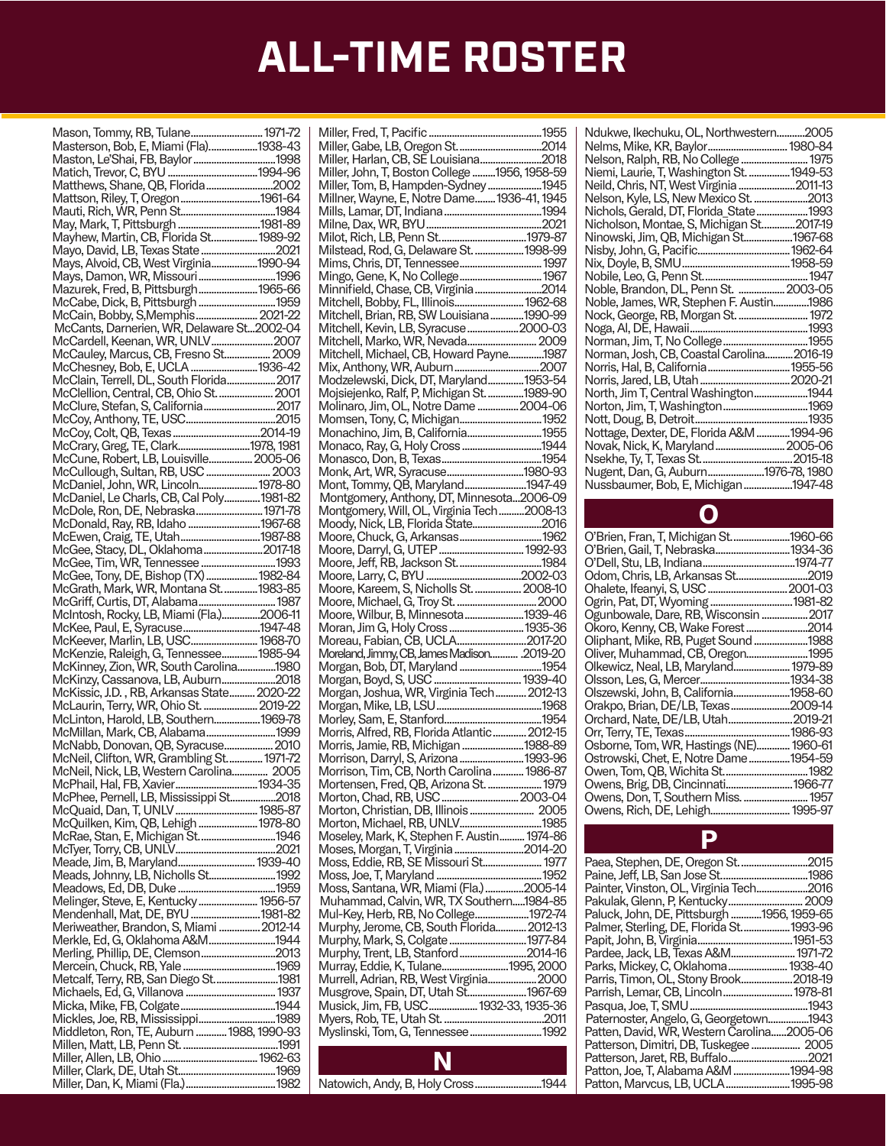| Mason, Tommy, RB, Tulane 1971-72                                                 |  |
|----------------------------------------------------------------------------------|--|
| Masterson, Bob, E, Miami (Fla)1938-43                                            |  |
|                                                                                  |  |
|                                                                                  |  |
|                                                                                  |  |
|                                                                                  |  |
| Mattson, Riley, T, Oregon1961-64                                                 |  |
|                                                                                  |  |
| May, Mark, T, Pittsburgh 1981-89                                                 |  |
| Mayhew, Martin, CB, Florida St 1989-92                                           |  |
|                                                                                  |  |
| Mayo, David, LB, Texas State 2021                                                |  |
| Mays, Alvoid, CB, West Virginia1990-94                                           |  |
|                                                                                  |  |
| Mazurek, Fred, B, Pittsburgh1965-66                                              |  |
|                                                                                  |  |
| McCabe, Dick, B, Pittsburgh  1959                                                |  |
| McCain, Bobby, S, Memphis 2021-22                                                |  |
| McCants, Darnerien, WR, Delaware St2002-04                                       |  |
|                                                                                  |  |
|                                                                                  |  |
|                                                                                  |  |
|                                                                                  |  |
|                                                                                  |  |
|                                                                                  |  |
| McClellion, Central, CB, Ohio St.  2001                                          |  |
| McClure, Stefan, S, California 2017                                              |  |
|                                                                                  |  |
|                                                                                  |  |
|                                                                                  |  |
| McCrary, Greg, TE, Clark1978, 1981                                               |  |
| McCune, Robert, LB, Louisville 2005-06                                           |  |
|                                                                                  |  |
| McCullough, Sultan, RB, USC  2003                                                |  |
| McDaniel, John, WR, Lincoln 1978-80                                              |  |
| McDaniel, Le Charls, CB, Cal Poly 1981-82                                        |  |
| McDole, Ron, DE, Nebraska 1971-78                                                |  |
|                                                                                  |  |
| McDonald, Ray, RB, Idaho 1967-68                                                 |  |
| McEwen, Craig, TE, Utah1987-88                                                   |  |
| McGee, Stacy, DL, Oklahoma2017-18                                                |  |
|                                                                                  |  |
|                                                                                  |  |
|                                                                                  |  |
|                                                                                  |  |
|                                                                                  |  |
|                                                                                  |  |
|                                                                                  |  |
|                                                                                  |  |
|                                                                                  |  |
|                                                                                  |  |
| McKee, Paul, E, Śyracuse 1947-48<br>McKeever, Marlin, LB, USC  1968-70           |  |
|                                                                                  |  |
|                                                                                  |  |
| McKenzie, Raleigh, G, Tennessee1985-94<br>McKinney, Zion, WR, South Carolina1980 |  |
| McKinzy, Cassanova, LB, Auburn2018                                               |  |
| McKissic, J.D., RB, Arkansas State 2020-22                                       |  |
| McLaurin, Terry, WR, Ohio St.  2019-22                                           |  |
|                                                                                  |  |
| McLinton, Harold, LB, Southern1969-78                                            |  |
| McMillan, Mark, CB, Alabama1999                                                  |  |
| McNabb, Donovan, QB, Syracuse 2010                                               |  |
| McNeil, Clifton, WR, Grambling St 1971-72                                        |  |
|                                                                                  |  |
| McNeil, Nick, LB, Western Carolina 2005                                          |  |
| McPhail, Hal, FB, Xavier1934-35                                                  |  |
| McPhee, Pernell, LB, Mississippi St2018                                          |  |
| McQuaid, Dan, T, UNLV  1985-87                                                   |  |
|                                                                                  |  |
| McQuilken, Kim, QB, Lehigh  1978-80                                              |  |
| McRae, Stan, E, Michigan St1946                                                  |  |
|                                                                                  |  |
|                                                                                  |  |
|                                                                                  |  |
|                                                                                  |  |
|                                                                                  |  |
| Melinger, Steve, E, Kentucky  1956-57                                            |  |
| Mendenhall, Mat, DE, BYU 1981-82                                                 |  |
|                                                                                  |  |
| Meriweather, Brandon, S, Miami  2012-14                                          |  |
| Merkle, Ed, G, Oklahoma A&M1944                                                  |  |
| Merling, Phillip, DE, Clemson2013                                                |  |
|                                                                                  |  |
|                                                                                  |  |
|                                                                                  |  |
|                                                                                  |  |
|                                                                                  |  |
|                                                                                  |  |
|                                                                                  |  |
| Middleton, Ron, TE, Auburn  1988, 1990-93                                        |  |
|                                                                                  |  |
|                                                                                  |  |
|                                                                                  |  |
|                                                                                  |  |

| Miller, Harlan, CB, SE Louisiana2018          |  |
|-----------------------------------------------|--|
| Miller, John, T, Boston College 1956, 1958-59 |  |
|                                               |  |
| Miller, Tom, B, Hampden-Sydney 1945           |  |
|                                               |  |
| Millner, Wayne, E, Notre Dame 1936-41, 1945   |  |
|                                               |  |
|                                               |  |
|                                               |  |
|                                               |  |
|                                               |  |
|                                               |  |
| Milstead, Rod, G, Delaware St.  1998-99       |  |
|                                               |  |
|                                               |  |
| Mingo, Gene, K, No College 1967               |  |
|                                               |  |
| Minnifield, Chase, CB, Virginia2014           |  |
|                                               |  |
| Mitchell, Bobby, FL, Illinois 1962-68         |  |
|                                               |  |
| Mitchell, Brian, RB, SW Louisiana 1990-99     |  |
| Mitchell, Kevin, LB, Syracuse 2000-03         |  |
|                                               |  |
| Mitchell, Marko, WR, Nevada 2009              |  |
|                                               |  |
| Mitchell, Michael, CB, Howard Payne1987       |  |
|                                               |  |
|                                               |  |
| Modzelewski, Dick, DT, Maryland1953-54        |  |
|                                               |  |
| Mojsiejenko, Ralf, P, Michigan St. 1989-90    |  |
|                                               |  |
| Molinaro, Jim, OL, Notre Dame  2004-06        |  |
|                                               |  |
|                                               |  |
| Monachino, Jim, B, California1955             |  |
|                                               |  |
| Monaco, Ray, G, Holy Cross 1944               |  |
|                                               |  |
|                                               |  |
|                                               |  |
| Monk, Art, WR, Syracuse1980-93                |  |
|                                               |  |
| Mont, Tommy, QB, Maryland1947-49              |  |
|                                               |  |
| Montgomery, Anthony, DT, Minnesota2006-09     |  |
| Montgomery, Will, OL, Virginia Tech2008-13    |  |
|                                               |  |
| Moody, Nick, LB, Florida State2016            |  |
|                                               |  |
|                                               |  |
|                                               |  |
|                                               |  |
|                                               |  |
|                                               |  |
|                                               |  |
| Moore, Kareem, S, Nicholls St.  2008-10       |  |
|                                               |  |
|                                               |  |
|                                               |  |
|                                               |  |
|                                               |  |
| Moore, Wilbur, B, Minnesota1939-46            |  |
|                                               |  |
| Moran, Jim G, Holy Cross  1935-36             |  |
|                                               |  |
| Moreau, Fabian, CB, UCLA2017-20               |  |
|                                               |  |
| Moreland, Jimmy, CB, James Madison 2019-20    |  |
|                                               |  |
|                                               |  |
| Morgan, Boyd, S, USC  1939-40                 |  |
|                                               |  |
| Morgan, Joshua, WR, Virginia Tech 2012-13     |  |
|                                               |  |
|                                               |  |
|                                               |  |
|                                               |  |
| Morris, Alfred, RB, Florida Atlantic 2012-15  |  |
|                                               |  |
| Morris, Jamie, RB, Michigan 1988-89           |  |
|                                               |  |
| Morrison, Darryl, S, Arizona 1993-96          |  |
| Morrison, Tim, CB, North Carolina 1986-87     |  |
|                                               |  |
| Mortensen, Fred, QB, Arizona St.  1979        |  |
|                                               |  |
|                                               |  |
|                                               |  |
| Morton, Christian, DB, Illinois  2005         |  |
|                                               |  |
| Morton, Michael, RB, UNLV1985                 |  |
| Moseley, Mark, K, Stephen F. Austin 1974-86   |  |
|                                               |  |
| Moses, Morgan, T, Virginia 2014-20            |  |
|                                               |  |
| Moss, Eddie, RB, SE Missouri St 1977          |  |
|                                               |  |
|                                               |  |
| Moss, Santana, WR, Miami (Fla.) 2005-14       |  |
|                                               |  |
| Muhammad, Calvin, WR, TX Southern1984-85      |  |
|                                               |  |
| Mul-Key, Herb, RB, No College1972-74          |  |
|                                               |  |
| Murphy, Jerome, CB, South Florida 2012-13     |  |
|                                               |  |
| Murphy, Mark, S, Colgate 1977-84              |  |
| Murphy, Trent, LB, Stanford2014-16            |  |
|                                               |  |
| Murray, Eddie, K, Tulane1995, 2000            |  |
|                                               |  |
| Murrell, Adrian, RB, West Virginia 2000       |  |
|                                               |  |
| Musgrove, Spain, DT, Utah St1967-69           |  |
|                                               |  |
| Musick, Jim, FB, USC 1932-33, 1935-36         |  |
|                                               |  |
|                                               |  |
| Myslinski, Tom, G, Tennessee  1992            |  |

N Natowich, Andy, B, Holy Cross..........................1944

| Ndukwe, Ikechuku, OL, Northwestern2005    |  |
|-------------------------------------------|--|
|                                           |  |
| Nelson, Ralph, RB, No College  1975       |  |
| Niemi, Laurie, T, Washington St.  1949-53 |  |
| Neild, Chris, NT, West Virginia 2011-13   |  |
| Nelson, Kyle, LS, New Mexico St. 2013     |  |
| Nichols, Gerald, DT, Florida State1993    |  |
| Nicholson, Montae, S, Michigan St2017-19  |  |
| Ninowski, Jim, QB, Michigan St1967-68     |  |
|                                           |  |
|                                           |  |
|                                           |  |
| Noble, Brandon, DL, Penn St.  2003-05     |  |
| Noble, James, WR, Stephen F. Austin1986   |  |
| Nock, George, RB, Morgan St.  1972        |  |
|                                           |  |
|                                           |  |
| Norman, Josh, CB, Coastal Carolina2016-19 |  |
|                                           |  |
|                                           |  |
| North, Jim T, Central Washington1944      |  |
|                                           |  |
|                                           |  |
| Nottage, Dexter, DE, Florida A&M 1994-96  |  |
| Novak, Nick, K, Maryland  2005-06         |  |
|                                           |  |
| Nugent, Dan, G, Auburn1976-78, 1980       |  |
| Nussbaumer, Bob, E, Michigan 1947-48      |  |
|                                           |  |

#### O

| O'Brien, Fran, T, Michigan St1960-66    |  |
|-----------------------------------------|--|
| O'Brien, Gail, T, Nebraska1934-36       |  |
|                                         |  |
| Odom, Chris, LB, Arkansas St2019        |  |
| Ohalete, Ifeanyi, S, USC  2001-03       |  |
| Ogrin, Pat, DT, Wyoming 1981-82         |  |
| Ogunbowale, Dare, RB, Wisconsin 2017    |  |
| Okoro, Kenny, CB, Wake Forest 2014      |  |
| Oliphant, Mike, RB, Puget Sound 1988    |  |
| Oliver, Muhammad, CB, Oregon1995        |  |
| Olkewicz, Neal, LB, Maryland 1979-89    |  |
|                                         |  |
| Olszewski, John, B, California1958-60   |  |
| Orakpo, Brian, DE/LB, Texas2009-14      |  |
| Orchard, Nate, DE/LB, Utah2019-21       |  |
|                                         |  |
| Osborne, Tom, WR, Hastings (NE) 1960-61 |  |
| Ostrowski, Chet, E, Notre Dame1954-59   |  |
|                                         |  |
| Owens, Brig, DB, Cincinnati1966-77      |  |
| Owens, Don, T, Southern Miss.  1957     |  |
| Owens, Rich, DE, Lehigh 1995-97         |  |
|                                         |  |

| Painter, Vinston, OL, Virginia Tech2016<br>Paluck, John, DE, Pittsburgh 1956, 1959-65<br>Palmer, Sterling, DE, Florida St 1993-96 |  |
|-----------------------------------------------------------------------------------------------------------------------------------|--|
|                                                                                                                                   |  |
|                                                                                                                                   |  |
|                                                                                                                                   |  |
|                                                                                                                                   |  |
|                                                                                                                                   |  |
|                                                                                                                                   |  |
|                                                                                                                                   |  |
| Pardee, Jack, LB, Texas A&M 1971-72                                                                                               |  |
| Parks, Mickey, C, Oklahoma  1938-40                                                                                               |  |
| Parris, Timon, OL, Stony Brook2018-19                                                                                             |  |
| Parrish, Lemar, CB, Lincoln 1978-81                                                                                               |  |
|                                                                                                                                   |  |
| Paternoster, Angelo, G. Georgetown1943                                                                                            |  |
| Patten, David, WR, Western Carolina2005-06                                                                                        |  |
| Patterson, Dimitri, DB, Tuskegee  2005                                                                                            |  |
|                                                                                                                                   |  |
| Patton, Joe, T, Alabama A&M 1994-98                                                                                               |  |
| Patton, Marvcus, LB, UCLA1995-98                                                                                                  |  |

P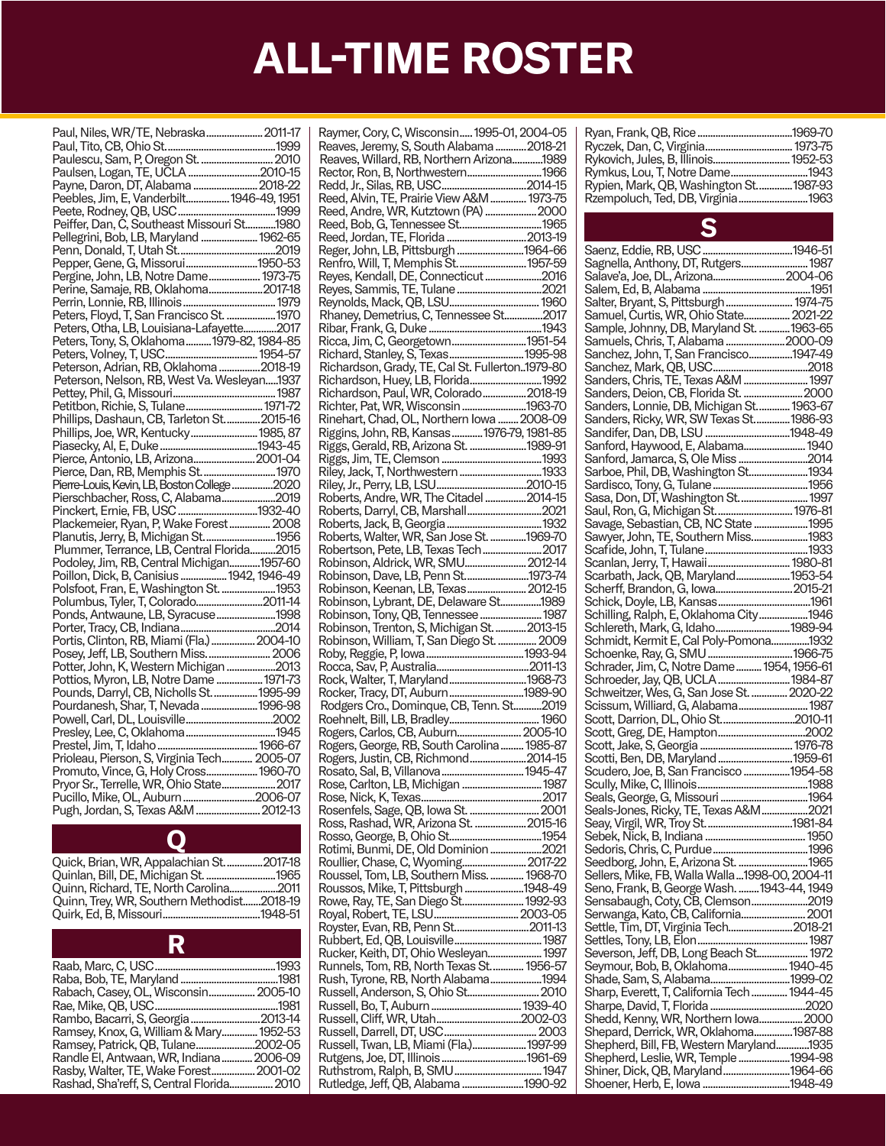| Paul, Niles, WR/TE, Nebraska 2011-17         |  |
|----------------------------------------------|--|
|                                              |  |
|                                              |  |
| Paulescu, Sam, P, Oregon St.  2010           |  |
| Paulsen, Logan, TE, UCLA 2010-15             |  |
|                                              |  |
| Payne, Daron, DT, Alabama  2018-22           |  |
| Peebles, Jim, E, Vanderbilt 1946-49, 1951    |  |
|                                              |  |
|                                              |  |
| Peiffer, Dan, C, Southeast Missouri St1980   |  |
| Pellegrini, Bob, LB, Maryland  1962-65       |  |
|                                              |  |
|                                              |  |
| Pepper, Gene, G. Missorui1950-53             |  |
| Pergine, John, LB, Notre Dame 1973-75        |  |
| Perine, Samaje, RB, Oklahoma2017-18          |  |
|                                              |  |
|                                              |  |
| Peters, Floyd, T, San Francisco St.  1970    |  |
| Peters, Otha, LB, Louisiana-Lafayette2017    |  |
| Peters, Tony, S, Oklahoma 1979-82, 1984-85   |  |
|                                              |  |
|                                              |  |
| Peterson, Adrian, RB, Oklahoma 2018-19       |  |
| Peterson, Nelson, RB, West Va. Wesleyan1937  |  |
|                                              |  |
|                                              |  |
| Petitbon, Richie, S, Tulane 1971-72          |  |
| Phillips, Dashaun, CB, Tarleton St 2015-16   |  |
| Phillips, Joe, WR, Kentucky 1985, 87         |  |
|                                              |  |
|                                              |  |
| Pierce, Antonio, LB, Arizona 2001-04         |  |
| Pierce, Dan, RB, Memphis St 1970             |  |
| Pierre-Louis, Kevin, LB, Boston College 2020 |  |
| Pierschbacher, Ross, C, Alabama2019          |  |
| Pinckert, Ernie, FB, USC 1932-40             |  |
|                                              |  |
| Plackemeier, Ryan, P, Wake Forest 2008       |  |
| Planutis, Jerry, B, Michigan St 1956         |  |
| Plummer, Terrance, LB, Central Florida2015   |  |
| Podoley, Jim, RB, Central Michigan1957-60    |  |
|                                              |  |
| Poillon, Dick, B, Canisius  1942, 1946-49    |  |
| Polsfoot, Fran, E, Washington St.  1953      |  |
| Polumbus, Tyler, T, Colorado2011-14          |  |
| Ponds, Antwaune, LB, Syracuse1998            |  |
|                                              |  |
|                                              |  |
| Portis, Clinton, RB, Miami (Fla.)  2004-10   |  |
| Posey, Jeff, LB, Southern Miss.  2006        |  |
| Potter, John, K, Western Michigan 2013       |  |
| Pottios, Myron, LB, Notre Dame  1971-73      |  |
|                                              |  |
| Pounds, Darryl, CB, Nicholls St.  1995-99    |  |
| Pourdanesh, Shar, T, Nevada 1996-98          |  |
|                                              |  |
|                                              |  |
|                                              |  |
|                                              |  |
| Prioleau, Pierson, S, Virginia Tech 2005-07  |  |
| Promuto, Vince, G, Holy Cross 1960-70        |  |
|                                              |  |
| Pryor Sr., Terrelle, WR, Ohio State 2017     |  |
| Pucillo, Mike, OL, Auburn 2006-07            |  |
| Pugh, Jordan, S, Texas A&M  2012-13          |  |
|                                              |  |

Q

| Quick, Brian, WR, Appalachian St2017-18    |  |
|--------------------------------------------|--|
| Quinlan, Bill, DE, Michigan St. 1965       |  |
| Ouinn. Richard. TE. North Carolina2011     |  |
| Quinn, Trey, WR, Southern Methodist2018-19 |  |
|                                            |  |
|                                            |  |

|                                           | .1993    |
|-------------------------------------------|----------|
|                                           | .1981    |
| Rabach, Casey, OL, Wisconsin 2005-10      |          |
|                                           | .1981    |
| Rambo, Bacarri, S, Georgia                | .2013-14 |
| Ramsey, Knox, G, William & Mary           | 1952-53  |
| Ramsey, Patrick, QB, Tulane               | .2002-05 |
| Randle El, Antwaan, WR, Indiana           | 2006-09  |
| Rasby, Walter, TE, Wake Forest.           | 2001-02  |
| Rashad, Sha'reff, S, Central Florida 2010 |          |
|                                           |          |

| Raymer, Cory, C, Wisconsin 1995-01, 2004-05                                          |  |
|--------------------------------------------------------------------------------------|--|
|                                                                                      |  |
| Reaves, Jeremy, S, South Alabama 2018-21                                             |  |
| Reaves, Willard, RB, Northern Arizona1989                                            |  |
| Rector, Ron, B, Northwestern1966                                                     |  |
|                                                                                      |  |
|                                                                                      |  |
| Reed, Alvin, TE, Prairie View A&M  1973-75                                           |  |
| Reed, Andre, WR, Kutztown (PA)  2000                                                 |  |
|                                                                                      |  |
|                                                                                      |  |
| Reed, Jordan, TE, Florida 2013-19                                                    |  |
| Reger, John, LB, Pittsburgh 1964-66                                                  |  |
|                                                                                      |  |
| Renfro, Will, T, Memphis St 1957-59                                                  |  |
| Reyes, Kendall, DE, Connecticut 2016<br>Reyes, Sammis, TE, Tulane 2021               |  |
|                                                                                      |  |
|                                                                                      |  |
|                                                                                      |  |
|                                                                                      |  |
|                                                                                      |  |
|                                                                                      |  |
| Ricca, Jim, C, Georgetown1951-54                                                     |  |
|                                                                                      |  |
|                                                                                      |  |
|                                                                                      |  |
| Richardson, Huey, LB, Florida1992                                                    |  |
|                                                                                      |  |
| Richardson, Paul, WR, Colorado2018-19                                                |  |
| Richter, Pat, WR, Wisconsin 1963-70                                                  |  |
|                                                                                      |  |
| Rinehart, Chad, OL, Northern Iowa  2008-09                                           |  |
| Riggins, John, RB, Kansas 1976-79, 1981-85<br>Riggs, Gerald, RB, Arizona St. 1989-91 |  |
|                                                                                      |  |
|                                                                                      |  |
|                                                                                      |  |
|                                                                                      |  |
|                                                                                      |  |
|                                                                                      |  |
|                                                                                      |  |
|                                                                                      |  |
| Roberts, Darryl, CB, Marshall2021                                                    |  |
|                                                                                      |  |
| Roberts, Walter, WR, San Jose St. 1969-70                                            |  |
|                                                                                      |  |
| Robertson, Pete, LB, Texas Tech 2017                                                 |  |
| Robinson, Aldrick, WR, SMU 2012-14                                                   |  |
|                                                                                      |  |
| Robinson, Dave, LB, Penn St1973-74                                                   |  |
| Robinson, Keenan, LB, Texas 2012-15                                                  |  |
| Robinson, Lybrant, DE, Delaware St1989                                               |  |
|                                                                                      |  |
| Robinson, Tony, QB, Tennessee 1987<br>Robinson, Trenton, S, Michigan St. 2013-15     |  |
|                                                                                      |  |
|                                                                                      |  |
| Robinson, William, T, San Diego St.  2009                                            |  |
|                                                                                      |  |
|                                                                                      |  |
|                                                                                      |  |
| Rock, Walter, T, Maryland1968-73                                                     |  |
|                                                                                      |  |
| Rocker, Tracy, DT, Auburn 1989-90<br>Rodgers Cro., Dominque, CB, Tenn. St2019        |  |
|                                                                                      |  |
|                                                                                      |  |
| Rogers, Carlos, CB, Auburn 2005-10                                                   |  |
|                                                                                      |  |
| Rogers, George, RB, South Carolina 1985-87                                           |  |
| Rogers, Justin, CB, Richmond2014-15                                                  |  |
|                                                                                      |  |
| Rosato, Sal, B, Villanova  1945-47                                                   |  |
|                                                                                      |  |
|                                                                                      |  |
|                                                                                      |  |
|                                                                                      |  |
| Ross, Rashad, WR, Arizona St. 2015-16                                                |  |
|                                                                                      |  |
|                                                                                      |  |
| Rotimi, Bunmi, DE, Old Dominion 2021                                                 |  |
| Roullier, Chase, C, Wyoming 2017-22                                                  |  |
|                                                                                      |  |
|                                                                                      |  |
|                                                                                      |  |
| Roussel, Tom, LB, Southern Miss.  1968-70                                            |  |
| Roussos, Mike, T, Pittsburgh 1948-49                                                 |  |
| Rowe, Ray, TE, San Diego St 1992-93                                                  |  |
|                                                                                      |  |
|                                                                                      |  |
| Royster, Evan, RB, Penn St2011-13                                                    |  |
|                                                                                      |  |
|                                                                                      |  |
| Rucker, Keith, DT, Ohio Wesleyan 1997                                                |  |
| Runnels, Tom, RB, North Texas St 1956-57                                             |  |
|                                                                                      |  |
| Rush, Tyrone, RB, North Alabama1994                                                  |  |
|                                                                                      |  |
|                                                                                      |  |
|                                                                                      |  |
|                                                                                      |  |
|                                                                                      |  |
|                                                                                      |  |
| Russell, Twan, LB, Miami (Fla.) 1997-99                                              |  |
|                                                                                      |  |
|                                                                                      |  |
| Rutledge, Jeff, QB, Alabama 1990-92                                                  |  |

| Rykovich, Jules, B, Illinois 1952-53   |  |
|----------------------------------------|--|
| Rymkus, Lou, T, Notre Dame1943         |  |
| Rypien, Mark, QB, Washington St1987-93 |  |
| Rzempoluch, Ted, DB, Virginia1963      |  |
|                                        |  |

### S

| Sagnella, Anthony, DT, Rutgers 1987                                      |  |
|--------------------------------------------------------------------------|--|
|                                                                          |  |
|                                                                          |  |
|                                                                          |  |
|                                                                          |  |
|                                                                          |  |
|                                                                          |  |
|                                                                          |  |
| Sample, Johnny, DB, Maryland St.  1963-65                                |  |
|                                                                          |  |
| Samuels, Chris, T, Alabama 2000-09                                       |  |
|                                                                          |  |
| Sanchez, John, T, San Francisco1947-49                                   |  |
|                                                                          |  |
|                                                                          |  |
|                                                                          |  |
| Sanders, Deion, CB, Florida St.  2000                                    |  |
|                                                                          |  |
| Sanders, Lonnie, DB, Michigan St 1963-67                                 |  |
|                                                                          |  |
| Sanders, Ricky, WR, SW Texas St 1986-93                                  |  |
| Sandifer, Dan, DB, LSU 1948-49                                           |  |
|                                                                          |  |
| Sanford, Haywood, E, Alabama 1940                                        |  |
|                                                                          |  |
|                                                                          |  |
|                                                                          |  |
|                                                                          |  |
|                                                                          |  |
|                                                                          |  |
|                                                                          |  |
|                                                                          |  |
|                                                                          |  |
|                                                                          |  |
|                                                                          |  |
|                                                                          |  |
|                                                                          |  |
|                                                                          |  |
|                                                                          |  |
| Scarbath, Jack, QB, Maryland1953-54                                      |  |
| Scherff, Brandon, G, Iowa 2015-21                                        |  |
|                                                                          |  |
|                                                                          |  |
| Schilling, Ralph, E, Oklahoma City1946                                   |  |
|                                                                          |  |
|                                                                          |  |
|                                                                          |  |
|                                                                          |  |
|                                                                          |  |
| Schrader, Jim, C, Notre Dame 1954, 1956-61                               |  |
|                                                                          |  |
|                                                                          |  |
|                                                                          |  |
| Schweitzer, Wes, G, San Jose St.  2020-22                                |  |
| Scissum, Williard, G, Alabama 1987                                       |  |
|                                                                          |  |
| Scott, Darrion, DL, Ohio St2010-11                                       |  |
|                                                                          |  |
|                                                                          |  |
|                                                                          |  |
| Scotti, Ben, DB, Maryland 1959-61                                        |  |
|                                                                          |  |
| Scudero, Joe, B, San Francisco 1954-58                                   |  |
|                                                                          |  |
|                                                                          |  |
| Seals, George, G, Missouri 1964<br>Seals-Jones, Ricky, TE, Texas A&M2021 |  |
|                                                                          |  |
|                                                                          |  |
|                                                                          |  |
|                                                                          |  |
|                                                                          |  |
|                                                                          |  |
|                                                                          |  |
|                                                                          |  |
| Sellers, Mike, FB, Walla Walla1998-00, 2004-11                           |  |
|                                                                          |  |
| Seno, Frank, B, George Wash. 1943-44, 1949                               |  |
|                                                                          |  |
| Sensabaugh, Coty, CB, Clemson2019                                        |  |
| Serwanga, Kato, CB, California 2001                                      |  |
|                                                                          |  |
| Settle, Tim, DT, Virginia Tech2018-21                                    |  |
|                                                                          |  |
|                                                                          |  |
|                                                                          |  |
|                                                                          |  |
| Severson, Jeff, DB, Long Beach St 1972                                   |  |
| Seymour, Bob, B, Oklahoma 1940-45                                        |  |
|                                                                          |  |
|                                                                          |  |
| Sharp, Everett, T, California Tech  1944-45                              |  |
|                                                                          |  |
|                                                                          |  |
| Shedd, Kenny, WR, Northern Iowa2000                                      |  |
|                                                                          |  |
| Shepard, Derrick, WR, Oklahoma1987-88                                    |  |
|                                                                          |  |
| Shepherd, Bill, FB, Western Maryland1935                                 |  |
| Shepherd, Leslie, WR, Temple 1994-98                                     |  |
|                                                                          |  |
| Shiner, Dick, QB, Maryland1964-66                                        |  |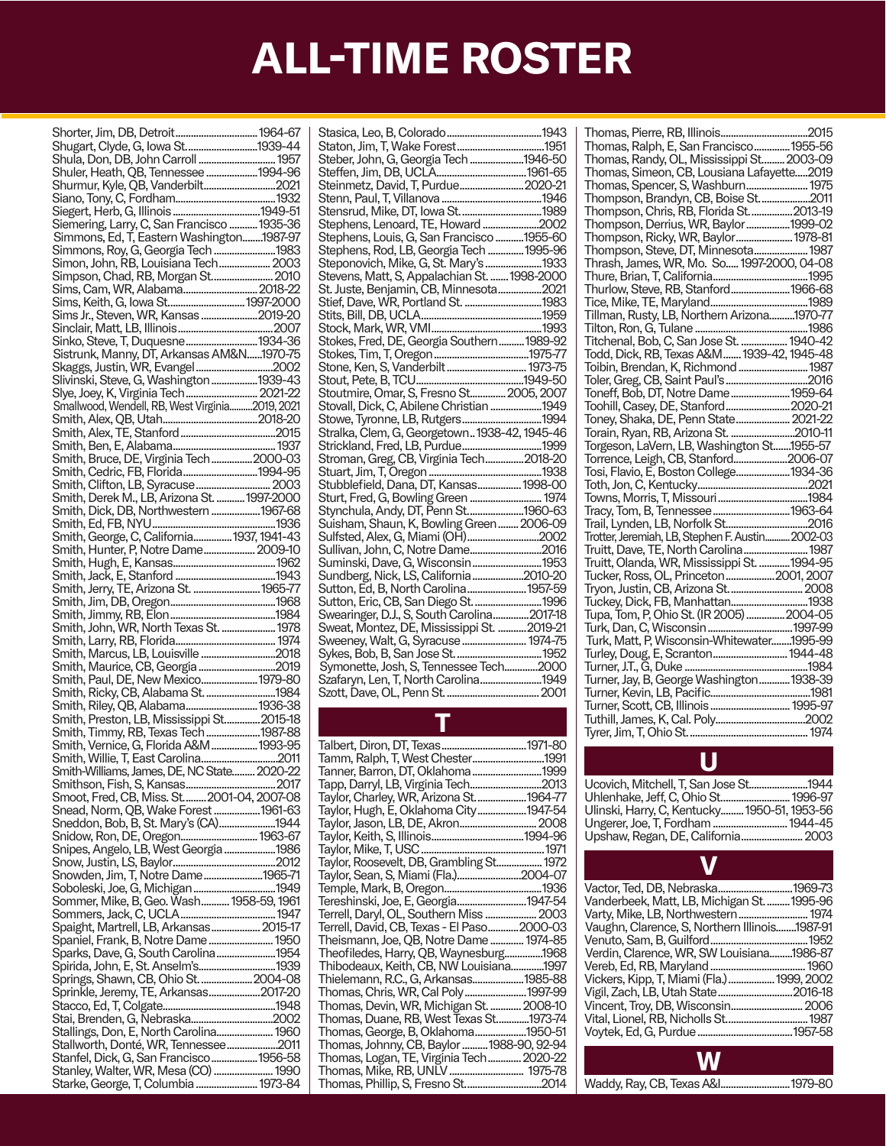| Shorter, Jim, DB, Detroit 1964-67                                                  |  |
|------------------------------------------------------------------------------------|--|
|                                                                                    |  |
|                                                                                    |  |
|                                                                                    |  |
| Shuler, Heath, QB, Tennessee 1994-96                                               |  |
| Shurmur, Kyle, QB, Vanderbilt2021                                                  |  |
|                                                                                    |  |
|                                                                                    |  |
|                                                                                    |  |
| Siemering, Larry, C, San Francisco  1935-36                                        |  |
|                                                                                    |  |
| Simmons, Ed, T, Eastern Washington1987-97                                          |  |
| Simmons, Roy, G, Georgia Tech 1983                                                 |  |
|                                                                                    |  |
| Simon, John, RB, Louisiana Tech 2003                                               |  |
| Simpson, Chad, RB, Morgan St 2010                                                  |  |
|                                                                                    |  |
|                                                                                    |  |
| Sims, Keith, G, Iowa St 1997-2000                                                  |  |
| Sims Jr., Steven, WR, Kansas 2019-20                                               |  |
|                                                                                    |  |
|                                                                                    |  |
| Sinko, Steve, T, Duquesne1934-36                                                   |  |
|                                                                                    |  |
| Sistrunk, Manny, DT, Arkansas AM&N1970-75                                          |  |
| Skaggs, Justin, WR, Evangel2002                                                    |  |
|                                                                                    |  |
| Slivinski, Steve, G, Washington 1939-43                                            |  |
| Slye, Joey, K, Virginia Tech 2021-22                                               |  |
| Smallwood, Wendell, RB, West Virginia2019, 2021                                    |  |
|                                                                                    |  |
|                                                                                    |  |
|                                                                                    |  |
|                                                                                    |  |
|                                                                                    |  |
| Smith, Bruce, DE, Virginia Tech2000-03                                             |  |
| Smith, Cedric, FB, Florida1994-95                                                  |  |
|                                                                                    |  |
|                                                                                    |  |
| Smith, Derek M., LB, Arizona St.  1997-2000                                        |  |
|                                                                                    |  |
| Smith, Dick, DB, Northwestern  1967-68                                             |  |
|                                                                                    |  |
|                                                                                    |  |
|                                                                                    |  |
| Smith, Hunter, P, Notre Dame 2009-10                                               |  |
|                                                                                    |  |
|                                                                                    |  |
|                                                                                    |  |
|                                                                                    |  |
|                                                                                    |  |
|                                                                                    |  |
|                                                                                    |  |
|                                                                                    |  |
|                                                                                    |  |
| Smith, John, WR, North Texas St.  1978                                             |  |
|                                                                                    |  |
|                                                                                    |  |
| Smith, Marcus, LB, Louisville2018                                                  |  |
|                                                                                    |  |
| Smith, Maurice, CB, Georgia 2019                                                   |  |
| Smith, Paul, DE, New Mexico 1979-80                                                |  |
| Smith, Ricky, CB, Alabama St. 1984                                                 |  |
|                                                                                    |  |
| Smith, Riley, QB, Alabama 1936-38                                                  |  |
| Smith, Preston, LB, Mississippi St2015-18                                          |  |
| Smith, Timmy, RB, Texas Tech 1987-88                                               |  |
|                                                                                    |  |
| Smith, Vernice, G, Florida A&M  1993-95                                            |  |
|                                                                                    |  |
|                                                                                    |  |
| Smith, Willie, T, East Carolina2011<br>Smith-Williams, James, DE, NC State 2020-22 |  |
|                                                                                    |  |
| Smoot, Fred, CB, Miss. St 2001-04, 2007-08                                         |  |
|                                                                                    |  |
| Snead, Norm, QB, Wake Forest 1961-63                                               |  |
| Sneddon, Bob, B, St. Mary's (CA)1944                                               |  |
|                                                                                    |  |
| Snidow, Ron, DE, Oregon 1963-67                                                    |  |
| Snipes, Angelo, LB, West Georgia 1986                                              |  |
|                                                                                    |  |
|                                                                                    |  |
| Snowden, Jim, T, Notre Dame1965-71                                                 |  |
|                                                                                    |  |
|                                                                                    |  |
| Sommer, Mike, B, Geo. Wash 1958-59, 1961                                           |  |
|                                                                                    |  |
| Spaight, Martrell, LB, Arkansas 2015-17                                            |  |
|                                                                                    |  |
| Spaniel, Frank, B, Notre Dame 1950                                                 |  |
|                                                                                    |  |
| Sparks, Dave, G, South Carolina1954                                                |  |
|                                                                                    |  |
| Springs, Shawn, CB, Ohio St. 2004-08                                               |  |
|                                                                                    |  |
|                                                                                    |  |
|                                                                                    |  |
|                                                                                    |  |
|                                                                                    |  |
| Stallings, Don, E, North Carolina 1960                                             |  |
| Sprinkle, Jeremy, TE, Arkansas2017-20<br>Stallworth, Donté, WR, Tennessee2011      |  |
| Stanfel, Dick, G, San Francisco 1956-58                                            |  |
|                                                                                    |  |
| Stanley, Walter, WR, Mesa (CO)  1990<br>Starke, George, T, Columbia  1973-84       |  |

| Steber, John, G, Georgia Tech 1946-50                                            |  |
|----------------------------------------------------------------------------------|--|
|                                                                                  |  |
| Steinmetz, David, T, Purdue 2020-21                                              |  |
|                                                                                  |  |
| Stensrud, Mike, DT, Iowa St.  1989                                               |  |
| Stephens, Lenoard, TE, Howard 2002                                               |  |
| Stephens, Louis, G. San Francisco 1955-60                                        |  |
| Stephens, Rod, LB, Georgia Tech  1995-96                                         |  |
| Steponovich, Mike, G, St. Mary's  1933                                           |  |
| Stevens, Matt, S, Appalachian St. 1998-2000                                      |  |
| St. Juste, Benjamin, CB, Minnesota2021                                           |  |
|                                                                                  |  |
|                                                                                  |  |
|                                                                                  |  |
|                                                                                  |  |
| Stokes, Fred, DE, Georgia Southern 1989-92                                       |  |
|                                                                                  |  |
|                                                                                  |  |
|                                                                                  |  |
|                                                                                  |  |
| Stovall, Dick, C, Abilene Christian 1949                                         |  |
| Stowe, Tyronne, LB, Rutgers1994<br>Stralka, Clem, G, Georgetown 1938-42, 1945-46 |  |
|                                                                                  |  |
| Strickland, Fred, LB, Purdue1999                                                 |  |
| Stroman, Greg, CB, Virginia Tech2018-20                                          |  |
|                                                                                  |  |
| Stubblefield, Dana, DT, Kansas 1998-00                                           |  |
| Sturt, Fred, G, Bowling Green  1974                                              |  |
| Stynchula, Andy, DT, P̃enn St1960-63                                             |  |
| Suisham, Shaun, K, Bowling Green 2006-09                                         |  |
| Sulfsted, Alex, G, Miami (OH)2002                                                |  |
| Sullivan, John, C, Notre Dame2016                                                |  |
| Suminski, Dave, G, Wisconsin 1953                                                |  |
| Sundberg, Nick, LS, California2010-20                                            |  |
| Sutton, Ed, B, North Carolina 1957-59                                            |  |
|                                                                                  |  |
| Swearinger, D.J., S, South Carolina2017-18                                       |  |
| Sweat, Montez, DE, Mississippi St.  2019-21                                      |  |
|                                                                                  |  |
|                                                                                  |  |
| Symonette, Josh, S, Tennessee Tech2000                                           |  |
| Szafaryn, Len, T, North Carolina1949                                             |  |
|                                                                                  |  |
|                                                                                  |  |

| Tamm, Ralph, T, West Chester1991           |  |
|--------------------------------------------|--|
| Tanner, Barron, DT, Oklahoma1999           |  |
| Tapp, Darryl, LB, Virginia Tech2013        |  |
| Taylor, Charley, WR, Arizona St1964-77     |  |
| Taylor, Hugh, E, Oklahoma City1947-54      |  |
|                                            |  |
|                                            |  |
|                                            |  |
| Taylor, Roosevelt, DB, Grambling St 1972   |  |
| Taylor, Sean, S, Miami (Fla.)2004-07       |  |
|                                            |  |
| Tereshinski, Joe, E, Georgia1947-54        |  |
| Terrell, Daryl, OL, Southern Miss 2003     |  |
| Terrell, David, CB, Texas - El Paso2000-03 |  |
| Theismann, Joe, QB, Notre Dame  1974-85    |  |
| Theofiledes, Harry, QB, Waynesburg1968     |  |
| Thibodeaux, Keith, CB, NW Louisiana1997    |  |
| Thielemann, R.C., G, Arkansas1985-88       |  |
| Thomas, Chris, WR, Cal Poly 1997-99        |  |
| Thomas, Devin, WR, Michigan St.  2008-10   |  |
| Thomas, Duane, RB, West Texas St1973-74    |  |
| Thomas, George, B, Oklahoma1950-51         |  |
| Thomas, Johnny, CB, Baylor  1988-90, 92-94 |  |
| Thomas, Logan, TE, Virginia Tech 2020-22   |  |
|                                            |  |
| Thomas, Phillip, S, Fresno St2014          |  |

| Thomas, Ralph, E, San Francisco 1955-56          |  |
|--------------------------------------------------|--|
| Thomas, Randy, OL, Mississippi St  2003-09       |  |
| Thomas, Simeon, CB, Lousiana Lafayette2019       |  |
|                                                  |  |
| Thomas, Spencer, S, Washburn 1975                |  |
| Thompson, Brandyn, CB, Boise St2011              |  |
| Thompson, Chris, RB, Florida St2013-19           |  |
| Thompson, Derrius, WR, Baylor1999-02             |  |
| Thompson, Ricky, WR, Baylor 1978-81              |  |
| Thompson, Steve, DT, Minnesota 1987              |  |
| Thrash, James, WR, Mo. So 1997-2000, 04-08       |  |
|                                                  |  |
| Thurlow, Steve, RB, Stanford 1966-68             |  |
|                                                  |  |
| Tillman, Rusty, LB, Northern Arizona1970-77      |  |
|                                                  |  |
| Titchenal, Bob, C, San Jose St.  1940-42         |  |
| Todd, Dick, RB, Texas A&M 1939-42, 1945-48       |  |
| Toibin, Brendan, K, Richmond  1987               |  |
|                                                  |  |
|                                                  |  |
|                                                  |  |
| Toohill, Casey, DE, Stanford 2020-21             |  |
| Toney, Shaka, DE, Penn State 2021-22             |  |
| Torain, Ryan, RB, Arizona St. 2010-11            |  |
| Torgeson, LaVern, LB, Washington St1955-57       |  |
| Torrence, Leigh, CB, Stanford2006-07             |  |
| Tosi, Flavio, E, Boston College1934-36           |  |
|                                                  |  |
|                                                  |  |
|                                                  |  |
|                                                  |  |
| Trotter, Jeremiah, LB, Stephen F. Austin 2002-03 |  |
| Truitt, Dave, TE, North Carolina 1987            |  |
| Truitt, Olanda, WR, Mississippi St.  1994-95     |  |
| Tucker, Ross, OL, Princeton2001, 2007            |  |
| Tryon, Justin, CB, Arizona St.  2008             |  |
|                                                  |  |
| Tupa, Tom, P, Ohio St. (IR 2005) 2004-05         |  |
|                                                  |  |
| Turk, Dan, C, Wisconsin  1997-99                 |  |
| Turk, Matt, P, Wisconsin-Whitewater1995-99       |  |
| Turley, Doug, E, Scranton 1944-48                |  |
|                                                  |  |
| Turner, Jay, B, George Washington 1938-39        |  |
|                                                  |  |
| Turner, Scott, CB, Illinois  1995-97             |  |
|                                                  |  |
|                                                  |  |
|                                                  |  |

### U

| Ucovich, Mitchell, T. San Jose St1944        |  |
|----------------------------------------------|--|
| Uhlenhake, Jeff, C, Ohio St 1996-97          |  |
| Ulinski, Harry, C, Kentucky 1950-51, 1953-56 |  |
| Ungerer, Joe, T, Fordham  1944-45            |  |
|                                              |  |
|                                              |  |

 $\blacksquare$ 

| Vactor, Ted, DB, Nebraska1969-73              |  |
|-----------------------------------------------|--|
| Vanderbeek, Matt, LB, Michigan St.  1995-96   |  |
|                                               |  |
| Vaughn, Clarence, S. Northern Illinois1987-91 |  |
|                                               |  |
| Verdin, Clarence, WR, SW Louisiana1986-87     |  |
|                                               |  |
| Vickers, Kipp, T, Miami (Fla.)  1999, 2002    |  |
|                                               |  |
|                                               |  |
|                                               |  |
|                                               |  |
|                                               |  |

W

Waddy, Ray, CB, Texas A&I...........................1979-80